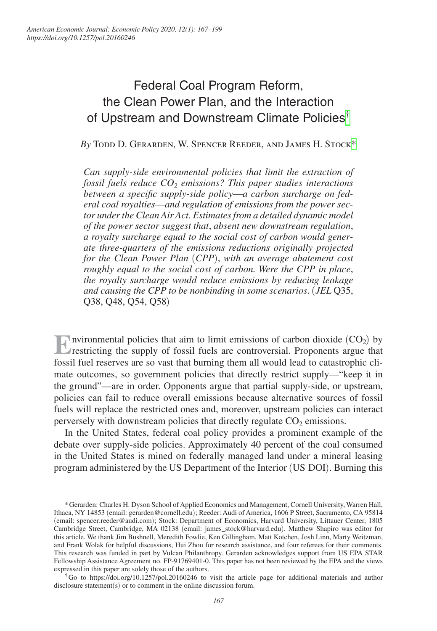# Federal Coal Program Reform, the Clean Power Plan, and the Interaction of Upstream and Downstream Climate Policies[†](#page-0-0)

*By* Todd D. Gerarden, W. Spencer Reeder, and James H. Stock[\\*](#page-0-1)

*Can supply-side environmental policies that limit the extraction of fossil fuels reduce CO<sub>2</sub> emissions? This paper studies interactions between a specific supply-side policy*—*a carbon surcharge on federal coal royalties*—*and regulation of emissions from the power sector under the Clean Air Act. Estimates from a detailed dynamic model of the power sector suggest that*, *absent new downstream regulation*, *a royalty surcharge equal to the social cost of carbon would generate three-quarters of the emissions reductions originally projected for the Clean Power Plan* (*CPP*), *with an average abatement cost roughly equal to the social cost of carbon. Were the CPP in place*, *the royalty surcharge would reduce emissions by reducing leakage and causing the CPP to be nonbinding in some scenarios*. (*JEL* Q35, Q38, Q48, Q54, Q58)

**E**nvironmental policies that aim to limit emissions of carbon dioxide (CO<sub>2</sub>) by restricting the supply of fossil fuels are controversial. Proponents argue that fossil fuel reserves are so vast that burning them all would lead to catastrophic climate outcomes, so government policies that directly restrict supply—"keep it in the ground"—are in order. Opponents argue that partial supply-side, or upstream, policies can fail to reduce overall emissions because alternative sources of fossil fuels will replace the restricted ones and, moreover, upstream policies can interact perversely with downstream policies that directly regulate  $CO<sub>2</sub>$  emissions.

In the United States, federal coal policy provides a prominent example of the debate over supply-side policies. Approximately 40 percent of the coal consumed in the United States is mined on federally managed land under a mineral leasing program administered by the US Department of the Interior (US DOI). Burning this

<span id="page-0-0"></span>†Go to <https://doi.org/10.1257/pol.20160246>to visit the article page for additional materials and author disclosure statement(s) or to comment in the online discussion forum.

<span id="page-0-1"></span><sup>\*</sup>Gerarden: Charles H. Dyson School of Applied Economics and Management, Cornell University, Warren Hall, Ithaca, NY 14853 (email: [gerarden@cornell.edu](mailto:gerarden@cornell.edu)); Reeder: Audi of America, 1606 P Street, Sacramento, CA 95814 (email: [spencer.reeder@audi.com](mailto:spencer.reeder@audi.com)); Stock: Department of Economics, Harvard University, Littauer Center, 1805 Cambridge Street, Cambridge, MA 02138 (email: [james\\_stock@harvard.edu](mailto:james_stock@harvard.edu)). Matthew Shapiro was editor for this article. We thank Jim Bushnell, Meredith Fowlie, Ken Gillingham, Matt Kotchen, Josh Linn, Marty Weitzman, and Frank Wolak for helpful discussions, Hui Zhou for research assistance, and four referees for their comments. This research was funded in part by Vulcan Philanthropy. Gerarden acknowledges support from US EPA STAR Fellowship Assistance Agreement no. FP-91769401-0. This paper has not been reviewed by the EPA and the views expressed in this paper are solely those of the authors.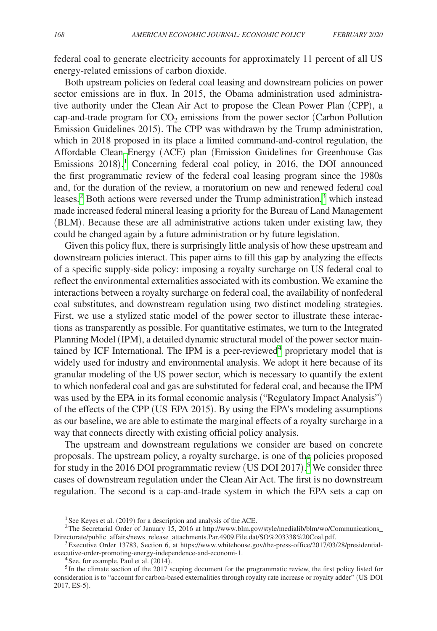federal coal to generate electricity accounts for approximately 11 percent of all US energy-related emissions of carbon dioxide.

Both upstream policies on federal coal leasing and downstream policies on power sector emissions are in flux. In 2015, the Obama administration used administrative authority under the Clean Air Act to propose the Clean Power Plan (CPP), a cap-and-trade program for  $CO_2$  emissions from the power sector (Carbon Pollution Emission Guidelines 2015). The CPP was withdrawn by the Trump administration, which in 2018 proposed in its place a limited command-and-control regulation, the Affordable Clean Energy (ACE) plan (Emission Guidelines for Greenhouse Gas Emissions 2018). [1](#page-1-0) Concerning federal coal policy, in 2016, the DOI announced the first programmatic review of the federal coal leasing program since the 1980s and, for the duration of the review, a moratorium on new and renewed federal coal leases.<sup>2</sup> Both actions were reversed under the Trump administration,<sup>3</sup> which instead made increased federal mineral leasing a priority for the Bureau of Land Management (BLM). Because these are all administrative actions taken under existing law, they could be changed again by a future administration or by future legislation.

Given this policy flux, there is surprisingly little analysis of how these upstream and downstream policies interact. This paper aims to fill this gap by analyzing the effects of a specific supply-side policy: imposing a royalty surcharge on US federal coal to reflect the environmental externalities associated with its combustion. We examine the interactions between a royalty surcharge on federal coal, the availability of nonfederal coal substitutes, and downstream regulation using two distinct modeling strategies. First, we use a stylized static model of the power sector to illustrate these interactions as transparently as possible. For quantitative estimates, we turn to the Integrated Planning Model (IPM), a detailed dynamic structural model of the power sector maintained by ICF International. The IPM is a peer-reviewed<sup>4</sup> proprietary model that is widely used for industry and environmental analysis. We adopt it here because of its granular modeling of the US power sector, which is necessary to quantify the extent to which nonfederal coal and gas are substituted for federal coal, and because the IPM was used by the EPA in its formal economic analysis ("Regulatory Impact Analysis") of the effects of the CPP (US EPA 2015). By using the EPA's modeling assumptions as our baseline, we are able to estimate the marginal effects of a royalty surcharge in a way that connects directly with existing official policy analysis.

The upstream and downstream regulations we consider are based on concrete proposals. The upstream policy, a royalty surcharge, is one of the policies proposed for study in the 2016 DOI programmatic review (US DOI 2017).<sup>[5](#page-1-4)</sup> We consider three cases of downstream regulation under the Clean Air Act. The first is no downstream regulation. The second is a cap-and-trade system in which the EPA sets a cap on

<span id="page-1-4"></span><span id="page-1-3"></span>

<span id="page-1-1"></span><span id="page-1-0"></span>

<sup>&</sup>lt;sup>1</sup>See Keyes et al. (2019) for a description and analysis of the ACE.<br><sup>2</sup>The Secretarial Order of January 15, 2016 at [http://www.blm.gov/style/medialib/blm/wo/Communications\\_](http://www.blm.gov/style/medialib/blm/wo/Communications_Directorate/public_affairs/news_release_attachments.Par.4909.File.dat/SO%203338%20Coal.pdf)<br>Directorate/public\_affairs/news\_release\_attachm

<span id="page-1-2"></span><sup>&</sup>lt;sup>3</sup>Executive Order 13783, Section 6, at https://www.whitehouse.gov/the-press-office/2017/03/28/presidential-executive-order-promoting-energy-independence-and-economi-1.

<sup>&</sup>lt;sup>[4](https://www.whitehouse.gov/the-press-office/2017/03/28/presidential-executive-order-promoting-energy-independence-and-economi-1)</sup> See, for example, Paul et al. (2014).  $5<sup>1</sup>$  and  $2<sup>1</sup>$  scoping document for the programmatic review, the first policy listed for  $5<sup>1</sup>$  m the climate section of the 2017 scoping document for the programma consideration is to "account for carbon-based externalities through royalty rate increase or royalty adder" (US DOI 2017, ES-5).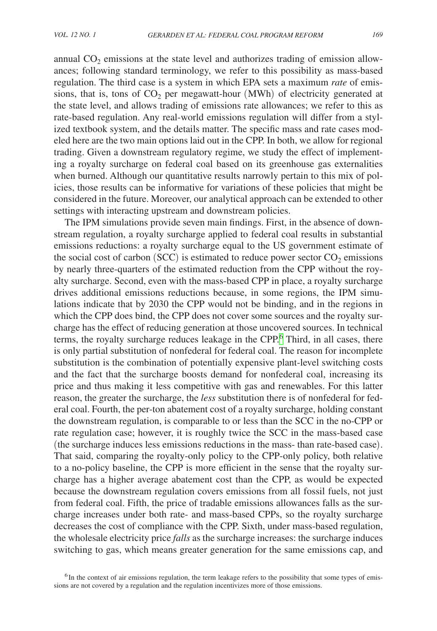annual  $CO<sub>2</sub>$  emissions at the state level and authorizes trading of emission allow-

ances; following standard terminology, we refer to this possibility as mass-based regulation. The third case is a system in which EPA sets a maximum *rate* of emissions, that is, tons of  $CO<sub>2</sub>$  per megawatt-hour (MWh) of electricity generated at the state level, and allows trading of emissions rate allowances; we refer to this as rate-based regulation. Any real-world emissions regulation will differ from a stylized textbook system, and the details matter. The specific mass and rate cases modeled here are the two main options laid out in the CPP. In both, we allow for regional trading. Given a downstream regulatory regime, we study the effect of implementing a royalty surcharge on federal coal based on its greenhouse gas externalities when burned. Although our quantitative results narrowly pertain to this mix of policies, those results can be informative for variations of these policies that might be considered in the future. Moreover, our analytical approach can be extended to other settings with interacting upstream and downstream policies.

The IPM simulations provide seven main findings. First, in the absence of downstream regulation, a royalty surcharge applied to federal coal results in substantial emissions reductions: a royalty surcharge equal to the US government estimate of the social cost of carbon (SCC) is estimated to reduce power sector  $CO<sub>2</sub>$  emissions by nearly three-quarters of the estimated reduction from the CPP without the royalty surcharge. Second, even with the mass-based CPP in place, a royalty surcharge drives additional emissions reductions because, in some regions, the IPM simulations indicate that by 2030 the CPP would not be binding, and in the regions in which the CPP does bind, the CPP does not cover some sources and the royalty surcharge has the effect of reducing generation at those uncovered sources. In technical terms, the royalty surcharge reduces leakage in the CPP.<sup>[6](#page-2-0)</sup> Third, in all cases, there is only partial substitution of nonfederal for federal coal. The reason for incomplete substitution is the combination of potentially expensive plant-level switching costs and the fact that the surcharge boosts demand for nonfederal coal, increasing its price and thus making it less competitive with gas and renewables. For this latter reason, the greater the surcharge, the *less* substitution there is of nonfederal for federal coal. Fourth, the per-ton abatement cost of a royalty surcharge, holding constant the downstream regulation, is comparable to or less than the SCC in the no-CPP or rate regulation case; however, it is roughly twice the SCC in the mass-based case (the surcharge induces less emissions reductions in the mass- than rate-based case). That said, comparing the royalty-only policy to the CPP-only policy, both relative to a no-policy baseline, the CPP is more efficient in the sense that the royalty surcharge has a higher average abatement cost than the CPP, as would be expected because the downstream regulation covers emissions from all fossil fuels, not just from federal coal. Fifth, the price of tradable emissions allowances falls as the surcharge increases under both rate- and mass-based CPPs, so the royalty surcharge decreases the cost of compliance with the CPP. Sixth, under mass-based regulation, the wholesale electricity price *falls* as the surcharge increases: the surcharge induces switching to gas, which means greater generation for the same emissions cap, and

<span id="page-2-0"></span> $6$ In the context of air emissions regulation, the term leakage refers to the possibility that some types of emissions are not covered by a regulation and the regulation incentivizes more of those emissions.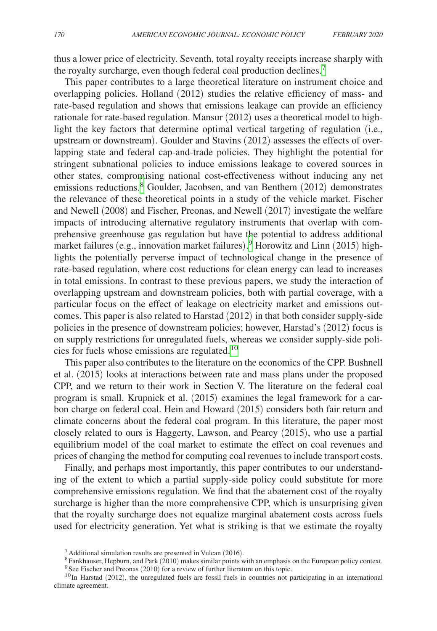thus a lower price of electricity. Seventh, total royalty receipts increase sharply with the royalty surcharge, even though federal coal production declines.<sup>7</sup>

This paper contributes to a large theoretical literature on instrument choice and overlapping policies. Holland (2012) studies the relative efficiency of mass- and rate-based regulation and shows that emissions leakage can provide an efficiency rationale for rate-based regulation. Mansur (2012) uses a theoretical model to highlight the key factors that determine optimal vertical targeting of regulation (i.e., upstream or downstream). Goulder and Stavins (2012) assesses the effects of overlapping state and federal cap-and-trade policies. They highlight the potential for stringent subnational policies to induce emissions leakage to covered sources in other states, compromising national cost-effectiveness without inducing any net emissions reductions.[8](#page-3-1) Goulder, Jacobsen, and van Benthem (2012) demonstrates the relevance of these theoretical points in a study of the vehicle market. Fischer and Newell (2008) and Fischer, Preonas, and Newell (2017) investigate the welfare impacts of introducing alternative regulatory instruments that overlap with comprehensive greenhouse gas regulation but have the potential to address additional market failures (e.g., innovation market failures).<sup>[9](#page-3-2)</sup> Horowitz and Linn (2015) highlights the potentially perverse impact of technological change in the presence of rate-based regulation, where cost reductions for clean energy can lead to increases in total emissions. In contrast to these previous papers, we study the interaction of overlapping upstream and downstream policies, both with partial coverage, with a particular focus on the effect of leakage on electricity market and emissions outcomes. This paper is also related to Harstad (2012) in that both consider supply-side policies in the presence of downstream policies; however, Harstad's (2012) focus is on supply restrictions for unregulated fuels, whereas we consider supply-side poli-cies for fuels whose emissions are regulated.<sup>[10](#page-3-3)</sup>

This paper also contributes to the literature on the economics of the CPP. Bushnell et al. (2015) looks at interactions between rate and mass plans under the proposed CPP, and we return to their work in Section V. The literature on the federal coal program is small. Krupnick et al. (2015) examines the legal framework for a carbon charge on federal coal. Hein and Howard (2015) considers both fair return and climate concerns about the federal coal program. In this literature, the paper most closely related to ours is Haggerty, Lawson, and Pearcy (2015), who use a partial equilibrium model of the coal market to estimate the effect on coal revenues and prices of changing the method for computing coal revenues to include transport costs.

Finally, and perhaps most importantly, this paper contributes to our understanding of the extent to which a partial supply-side policy could substitute for more comprehensive emissions regulation. We find that the abatement cost of the royalty surcharge is higher than the more comprehensive CPP, which is unsurprising given that the royalty surcharge does not equalize marginal abatement costs across fuels used for electricity generation. Yet what is striking is that we estimate the royalty

<span id="page-3-2"></span><span id="page-3-1"></span><span id="page-3-0"></span>

 $^7$  Additional simulation results are presented in Vulcan (2016).<br>  $^8$  Fankhauser, Hepburn, and Park (2010) makes similar points with an emphasis on the European policy context.<br>  $^9$  See Fischer and Preonas (2010) for

<span id="page-3-3"></span>climate agreement.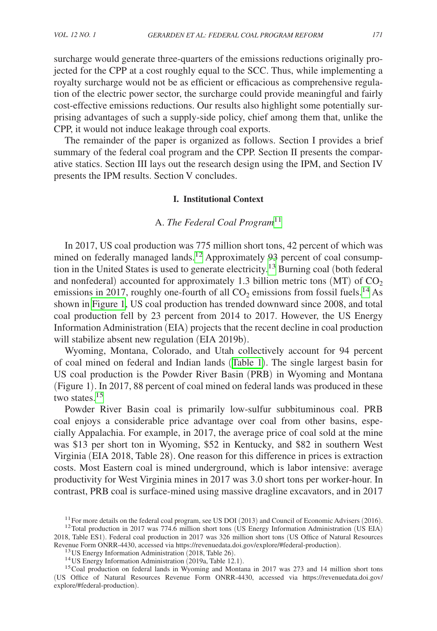surcharge would generate three-quarters of the emissions reductions originally projected for the CPP at a cost roughly equal to the SCC. Thus, while implementing a royalty surcharge would not be as efficient or efficacious as comprehensive regulation of the electric power sector, the surcharge could provide meaningful and fairly cost-effective emissions reductions. Our results also highlight some potentially surprising advantages of such a supply-side policy, chief among them that, unlike the CPP, it would not induce leakage through coal exports.

The remainder of the paper is organized as follows. Section I provides a brief summary of the federal coal program and the CPP. Section II presents the comparative statics. Section III lays out the research design using the IPM, and Section IV presents the IPM results. Section V concludes.

#### **I. Institutional Context**

# A. *The Federal Coal Program*[11](#page-4-0)

In 2017, US coal production was 775 million short tons, 42 percent of which was mined on federally managed lands.<sup>12</sup> Approximately 93 percent of coal consumption in the United States is used to generate electricity[.13](#page-4-2) Burning coal (both federal and nonfederal) accounted for approximately 1.3 billion metric tons  $(MT)$  of  $CO<sub>2</sub>$ emissions in 2017, roughly one-fourth of all  $CO_2$  emissions from fossil fuels.<sup>[14](#page-4-3)</sup> As shown in [Figure 1](#page-5-0), US coal production has trended downward since 2008, and total coal production fell by 23 percent from 2014 to 2017. However, the US Energy Information Administration (EIA) projects that the recent decline in coal production will stabilize absent new regulation (EIA 2019b).

Wyoming, Montana, Colorado, and Utah collectively account for 94 percent of coal mined on federal and Indian lands ([Table 1](#page-5-0)). The single largest basin for US coal production is the Powder River Basin (PRB) in Wyoming and Montana (Figure 1). In 2017, 88 percent of coal mined on federal lands was produced in these two states.<sup>[15](#page-4-4)</sup>

Powder River Basin coal is primarily low-sulfur subbituminous coal. PRB coal enjoys a considerable price advantage over coal from other basins, especially Appalachia. For example, in 2017, the average price of coal sold at the mine was \$13 per short ton in Wyoming, \$52 in Kentucky, and \$82 in southern West Virginia (EIA 2018, Table 28). One reason for this difference in prices is extraction costs. Most Eastern coal is mined underground, which is labor intensive: average productivity for West Virginia mines in 2017 was 3.0 short tons per worker-hour. In contrast, PRB coal is surface-mined using massive dragline excavators, and in 2017

<span id="page-4-1"></span><span id="page-4-0"></span><sup>&</sup>lt;sup>11</sup> For more details on the federal coal program, see US DOI (2013) and Council of Economic Advisers (2016). <sup>12</sup>Total production in 2017 was 774.6 million short tons (US Energy Information Administration (US EIA)

<sup>2018,</sup> Table ES1). Federal coal production in 2017 was 326 million short tons (US Office of Natural Resources

<span id="page-4-3"></span><span id="page-4-2"></span>

<span id="page-4-4"></span>

<sup>&</sup>lt;sup>13</sup> US Energy Information Administration (2018, Table 26).<br><sup>14</sup> US Energy Information Administration (2019a, Table 12.1).<br><sup>15</sup> Coal production on federal lands in Wyoming and Montana in 2017 was 273 and 14 million short (US Office of Natural Resources Revenue Form ONRR-4430, accessed via [https://revenuedata.doi.gov/](https://revenuedata.doi.gov/explore/#federal-production) [explore/#federal-production](https://revenuedata.doi.gov/explore/#federal-production)).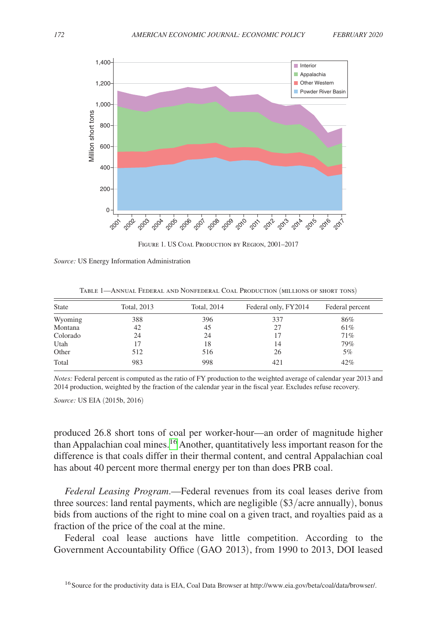<span id="page-5-0"></span>

Figure 1. US Coal Production by Region, 2001–2017

*Source:* US Energy Information Administration

Table 1—Annual Federal and Nonfederal Coal Production (millions of short tons)

| <b>State</b> | Total, 2013 | Total, 2014 | Federal only, FY2014 | Federal percent |
|--------------|-------------|-------------|----------------------|-----------------|
| Wyoming      | 388         | 396         | 337                  | 86%             |
| Montana      | 42          | 45          | 27                   | 61%             |
| Colorado     | 24          | 24          |                      | 71%             |
| Utah         |             | 18          | 14                   | 79%             |
| Other        | 512         | 516         | 26                   | 5%              |
| Total        | 983         | 998         | 421                  | 42%             |

*Notes:* Federal percent is computed as the ratio of FY production to the weighted average of calendar year 2013 and 2014 production, weighted by the fraction of the calendar year in the fiscal year. Excludes refuse recovery.

*Source:* US EIA (2015b, 2016)

produced 26.8 short tons of coal per worker-hour—an order of magnitude higher than Appalachian coal mines[.16](#page-5-1) Another, quantitatively less important reason for the difference is that coals differ in their thermal content, and central Appalachian coal has about 40 percent more thermal energy per ton than does PRB coal.

*Federal Leasing Program*.—Federal revenues from its coal leases derive from three sources: land rental payments, which are negligible (\$3/acre annually), bonus bids from auctions of the right to mine coal on a given tract, and royalties paid as a fraction of the price of the coal at the mine.

Federal coal lease auctions have little competition. According to the Government Accountability Office (GAO 2013), from 1990 to 2013, DOI leased

<span id="page-5-1"></span><sup>&</sup>lt;sup>16</sup> Source for the productivity data is EIA, Coal Data Browser at <http://www.eia.gov/beta/coal/data/browser/>.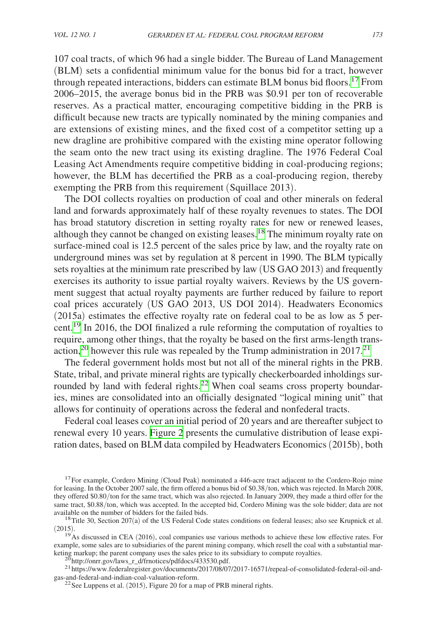107 coal tracts, of which 96 had a single bidder. The Bureau of Land Management (BLM) sets a confidential minimum value for the bonus bid for a tract, however through repeated interactions, bidders can estimate BLM bonus bid floors.[17](#page-6-0) From 2006–2015, the average bonus bid in the PRB was \$0.91 per ton of recoverable reserves. As a practical matter, encouraging competitive bidding in the PRB is difficult because new tracts are typically nominated by the mining companies and are extensions of existing mines, and the fixed cost of a competitor setting up a new dragline are prohibitive compared with the existing mine operator following the seam onto the new tract using its existing dragline. The 1976 Federal Coal Leasing Act Amendments require competitive bidding in coal-producing regions; however, the BLM has decertified the PRB as a coal-producing region, thereby exempting the PRB from this requirement (Squillace 2013).

The DOI collects royalties on production of coal and other minerals on federal land and forwards approximately half of these royalty revenues to states. The DOI has broad statutory discretion in setting royalty rates for new or renewed leases, although they cannot be changed on existing leases[.18](#page-6-1) The minimum royalty rate on surface-mined coal is 12.5 percent of the sales price by law, and the royalty rate on underground mines was set by regulation at 8 percent in 1990. The BLM typically sets royalties at the minimum rate prescribed by law (US GAO 2013) and frequently exercises its authority to issue partial royalty waivers. Reviews by the US government suggest that actual royalty payments are further reduced by failure to report coal prices accurately (US GAO 2013, US DOI 2014). Headwaters Economics (2015a) estimates the effective royalty rate on federal coal to be as low as 5 percent[.19](#page-6-2) In 2016, the DOI finalized a rule reforming the computation of royalties to require, among other things, that the royalty be based on the first arms-length trans-action,<sup>[20](#page-6-3)</sup> however this rule was repealed by the Trump administration in 2017.<sup>[21](#page-6-4)</sup>

The federal government holds most but not all of the mineral rights in the PRB. State, tribal, and private mineral rights are typically checkerboarded inholdings surrounded by land with federal rights.<sup>22</sup> When coal seams cross property boundaries, mines are consolidated into an officially designated "logical mining unit" that allows for continuity of operations across the federal and nonfederal tracts.

Federal coal leases cover an initial period of 20 years and are thereafter subject to renewal every 10 years. [Figure 2](#page-7-0) presents the cumulative distribution of lease expiration dates, based on BLM data compiled by Headwaters Economics (2015b), both

<span id="page-6-4"></span><span id="page-6-3"></span>

 $^{20}$ [http://onrr.gov/laws\\_r\\_d/frnotices/pdfdocs/433530.pdf](http://onrr.gov/laws_r_d/frnotices/pdfdocs/433530.pdf).<br><sup>21</sup> https://www.federalregister.gov/documents/2017/08/07/2017-16571/repeal-of-consolidated-federal-oil-and-<br>gas-and-federal-and-indian-coal-valuation-reform.

<span id="page-6-0"></span><sup>&</sup>lt;sup>17</sup>For example, Cordero Mining (Cloud Peak) nominated a 446-acre tract adjacent to the Cordero-Rojo mine for leasing. In the October 2007 sale, the firm offered a bonus bid of \$0.38/ton, which was rejected. In March 2008, they offered \$0.80/ton for the same tract, which was also rejected. In January 2009, they made a third offer for the same tract, \$0.88/ton, which was accepted. In the accepted bid, Cordero Mining was the sole bidder; data are not available on the number of bidders for the failed bids.

<span id="page-6-1"></span><sup>&</sup>lt;sup>18</sup>Title 30, Section 207(a) of the US Federal Code states conditions on federal leases; also see Krupnick et al. (2015).

<span id="page-6-2"></span> $^{19}$ As discussed in CEA (2016), coal companies use various methods to achieve these low effective rates. For example, some sales are to subsidiaries of the parent mining company, which resell the coal with a substantial marketing markup; the parent company uses the sales price to its subsidiary to compute royalties.

<span id="page-6-5"></span> $22$  See Luppens et al. (2015), Figure 20 for a map of PRB mineral rights.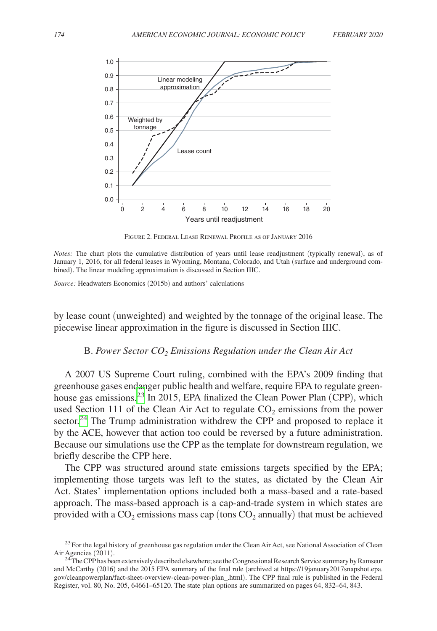<span id="page-7-0"></span>

Figure 2. Federal Lease Renewal Profile as of January 2016

*Notes:* The chart plots the cumulative distribution of years until lease readjustment (typically renewal), as of January 1, 2016, for all federal leases in Wyoming, Montana, Colorado, and Utah (surface and underground combined). The linear modeling approximation is discussed in Section IIIC.

*Source:* Headwaters Economics (2015b) and authors' calculations

by lease count (unweighted) and weighted by the tonnage of the original lease. The piecewise linear approximation in the figure is discussed in Section IIIC.

## B. Power Sector CO<sub>2</sub> Emissions Regulation under the Clean Air Act

A 2007 US Supreme Court ruling, combined with the EPA's 2009 finding that greenhouse gases endanger public health and welfare, require EPA to regulate greenhouse gas emissions.<sup>23</sup> In 2015, EPA finalized the Clean Power Plan (CPP), which used Section 111 of the Clean Air Act to regulate  $CO<sub>2</sub>$  emissions from the power sector.<sup>24</sup> The Trump administration withdrew the CPP and proposed to replace it by the ACE, however that action too could be reversed by a future administration. Because our simulations use the CPP as the template for downstream regulation, we briefly describe the CPP here.

The CPP was structured around state emissions targets specified by the EPA; implementing those targets was left to the states, as dictated by the Clean Air Act. States' implementation options included both a mass-based and a rate-based approach. The mass-based approach is a cap-and-trade system in which states are provided with a  $CO<sub>2</sub>$  emissions mass cap (tons  $CO<sub>2</sub>$  annually) that must be achieved

<span id="page-7-1"></span><sup>&</sup>lt;sup>23</sup> For the legal history of greenhouse gas regulation under the Clean Air Act, see National Association of Clean Air Agencies  $(2011)$ .

<span id="page-7-2"></span> $^{24}$ The CPP has been extensively described elsewhere; see the Congressional Research Service summary by Ramseur and McCarthy (2016) and the 2015 EPA summary of the final rule (archived at [https://19january2017snapshot.epa.](https://19january2017snapshot.epa.gov/cleanpowerplan/fact-sheet-overview-clean-power-plan_.html) [gov/cleanpowerplan/fact-sheet-overview-clean-power-plan\\_.html](https://19january2017snapshot.epa.gov/cleanpowerplan/fact-sheet-overview-clean-power-plan_.html)). The CPP final rule is published in the Federal Register, vol. 80, No. 205, 64661–65120. The state plan options are summarized on pages 64, 832–64, 843.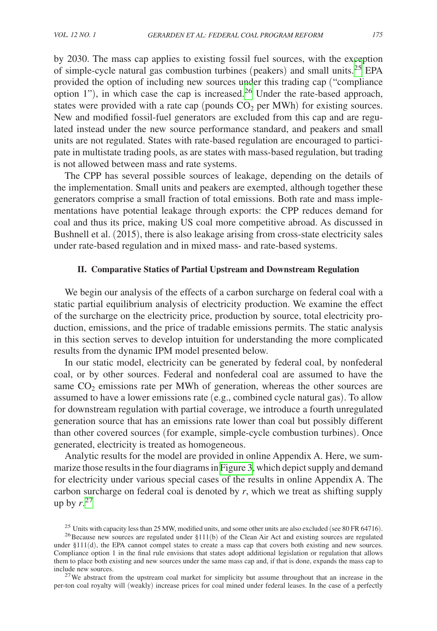by 2030. The mass cap applies to existing fossil fuel sources, with the exception of simple-cycle natural gas combustion turbines (peakers) and small units.<sup>25</sup> EPA provided the option of including new sources under this trading cap ("compliance option 1"), in which case the cap is increased.<sup>26</sup> Under the rate-based approach, states were provided with a rate cap (pounds  $CO<sub>2</sub>$  per MWh) for existing sources. New and modified fossil-fuel generators are excluded from this cap and are regulated instead under the new source performance standard, and peakers and small units are not regulated. States with rate-based regulation are encouraged to participate in multistate trading pools, as are states with mass-based regulation, but trading is not allowed between mass and rate systems.

The CPP has several possible sources of leakage, depending on the details of the implementation. Small units and peakers are exempted, although together these generators comprise a small fraction of total emissions. Both rate and mass implementations have potential leakage through exports: the CPP reduces demand for coal and thus its price, making US coal more competitive abroad. As discussed in Bushnell et al. (2015), there is also leakage arising from cross-state electricity sales under rate-based regulation and in mixed mass- and rate-based systems.

#### **II. Comparative Statics of Partial Upstream and Downstream Regulation**

We begin our analysis of the effects of a carbon surcharge on federal coal with a static partial equilibrium analysis of electricity production. We examine the effect of the surcharge on the electricity price, production by source, total electricity production, emissions, and the price of tradable emissions permits. The static analysis in this section serves to develop intuition for understanding the more complicated results from the dynamic IPM model presented below.

In our static model, electricity can be generated by federal coal, by nonfederal coal, or by other sources. Federal and nonfederal coal are assumed to have the same  $CO<sub>2</sub>$  emissions rate per MWh of generation, whereas the other sources are assumed to have a lower emissions rate (e.g., combined cycle natural gas). To allow for downstream regulation with partial coverage, we introduce a fourth unregulated generation source that has an emissions rate lower than coal but possibly different than other covered sources (for example, simple-cycle combustion turbines). Once generated, electricity is treated as homogeneous.

Analytic results for the model are provided in online Appendix A. Here, we summarize those results in the four diagrams in [Figure 3,](#page-9-0) which depict supply and demand for electricity under various special cases of the results in online Appendix A. The carbon surcharge on federal coal is denoted by *r*, which we treat as shifting supply up by  $r<sup>27</sup>$  $r<sup>27</sup>$  $r<sup>27</sup>$ 

<span id="page-8-2"></span>per-ton coal royalty will (weakly) increase prices for coal mined under federal leases. In the case of a perfectly

<span id="page-8-1"></span><span id="page-8-0"></span>

<sup>&</sup>lt;sup>25</sup> Units with capacity less than 25 MW, modified units, and some other units are also excluded (see 80 FR 64716). <sup>26</sup>Because new sources are regulated under §111(b) of the Clean Air Act and existing sources are regulat under §111(d), the EPA cannot compel states to create a mass cap that covers both existing and new sources. Compliance option 1 in the final rule envisions that states adopt additional legislation or regulation that allows them to place both existing and new sources under the same mass cap and, if that is done, expands the mass cap to include new sources. 27We abstract from the upstream coal market for simplicity but assume throughout that an increase in the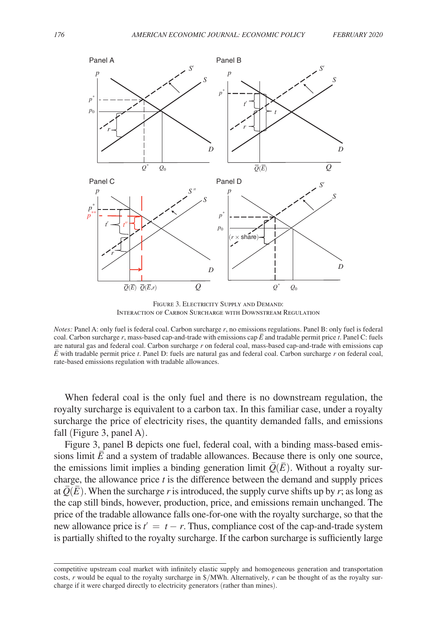<span id="page-9-0"></span>

Figure 3. Electricity Supply and Demand: Interaction of Carbon Surcharge with Downstream Regulation

When federal coal is the only fuel and there is no downstream regulation, the royalty surcharge is equivalent to a carbon tax. In this familiar case, under a royalty surcharge the price of electricity rises, the quantity demanded falls, and emissions fall (Figure 3, panel A).

Figure 3, panel B depicts one fuel, federal coal, with a binding mass-based emissions limit  $\overline{E}$  and a system of tradable allowances. Because there is only one source, the emissions limit implies a binding generation limit  $\overline{Q}(\overline{E})$ . Without a royalty surcharge, the allowance price *t* is the difference between the demand and supply prices at  $\overline{Q}(\overline{E})$ . When the surcharge *r* is introduced, the supply curve shifts up by *r*; as long as the cap still binds, however, production, price, and emissions remain unchanged. The price of the tradable allowance falls one-for-one with the royalty surcharge, so that the new allowance price is  $t' = t - r$ . Thus, compliance cost of the cap-and-trade system is partially shifted to the royalty surcharge. If the carbon surcharge is sufficiently large

*Notes:* Panel A: only fuel is federal coal. Carbon surcharge *r*, no emissions regulations. Panel B: only fuel is federal coal. Carbon surcharge  $r$ , mass-based cap-and-trade with emissions cap  $\bar{E}$  and tradable permit price  $t$ . Panel C: fuels are natural gas and federal coal. Carbon surcharge *r* on federal coal, mass-based cap-and-trade with emissions cap *E* – with tradable permit price *t*. Panel D: fuels are natural gas and federal coal. Carbon surcharge *r* on federal coal, rate-based emissions regulation with tradable allowances.

competitive upstream coal market with infinitely elastic supply and homogeneous generation and transportation costs, *r* would be equal to the royalty surcharge in \$/MWh. Alternatively, *r* can be thought of as the royalty surcharge if it were charged directly to electricity generators (rather than mines).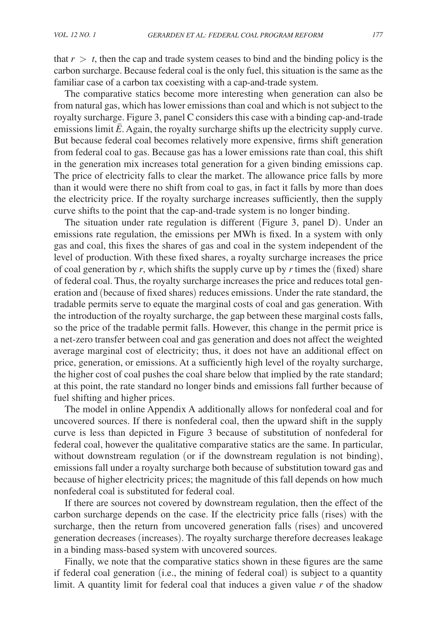that  $r > t$ , then the cap and trade system ceases to bind and the binding policy is the carbon surcharge. Because federal coal is the only fuel, this situation is the same as the familiar case of a carbon tax coexisting with a cap-and-trade system.

The comparative statics become more interesting when generation can also be from natural gas, which has lower emissions than coal and which is not subject to the royalty surcharge. Figure 3, panel C considers this case with a binding cap-and-trade emissions limit  $\overline{E}$ . Again, the royalty surcharge shifts up the electricity supply curve. But because federal coal becomes relatively more expensive, firms shift generation from federal coal to gas. Because gas has a lower emissions rate than coal, this shift in the generation mix increases total generation for a given binding emissions cap. The price of electricity falls to clear the market. The allowance price falls by more than it would were there no shift from coal to gas, in fact it falls by more than does the electricity price. If the royalty surcharge increases sufficiently, then the supply curve shifts to the point that the cap-and-trade system is no longer binding.

The situation under rate regulation is different (Figure 3, panel D). Under an emissions rate regulation, the emissions per MWh is fixed. In a system with only gas and coal, this fixes the shares of gas and coal in the system independent of the level of production. With these fixed shares, a royalty surcharge increases the price of coal generation by *r*, which shifts the supply curve up by *r* times the (fixed) share of federal coal. Thus, the royalty surcharge increases the price and reduces total generation and (because of fixed shares) reduces emissions. Under the rate standard, the tradable permits serve to equate the marginal costs of coal and gas generation. With the introduction of the royalty surcharge, the gap between these marginal costs falls, so the price of the tradable permit falls. However, this change in the permit price is a net-zero transfer between coal and gas generation and does not affect the weighted average marginal cost of electricity; thus, it does not have an additional effect on price, generation, or emissions. At a sufficiently high level of the royalty surcharge, the higher cost of coal pushes the coal share below that implied by the rate standard; at this point, the rate standard no longer binds and emissions fall further because of fuel shifting and higher prices.

The model in online Appendix A additionally allows for nonfederal coal and for uncovered sources. If there is nonfederal coal, then the upward shift in the supply curve is less than depicted in Figure 3 because of substitution of nonfederal for federal coal, however the qualitative comparative statics are the same. In particular, without downstream regulation (or if the downstream regulation is not binding), emissions fall under a royalty surcharge both because of substitution toward gas and because of higher electricity prices; the magnitude of this fall depends on how much nonfederal coal is substituted for federal coal.

If there are sources not covered by downstream regulation, then the effect of the carbon surcharge depends on the case. If the electricity price falls (rises) with the surcharge, then the return from uncovered generation falls (rises) and uncovered generation decreases (increases). The royalty surcharge therefore decreases leakage in a binding mass-based system with uncovered sources.

Finally, we note that the comparative statics shown in these figures are the same if federal coal generation (i.e., the mining of federal coal) is subject to a quantity limit. A quantity limit for federal coal that induces a given value *r* of the shadow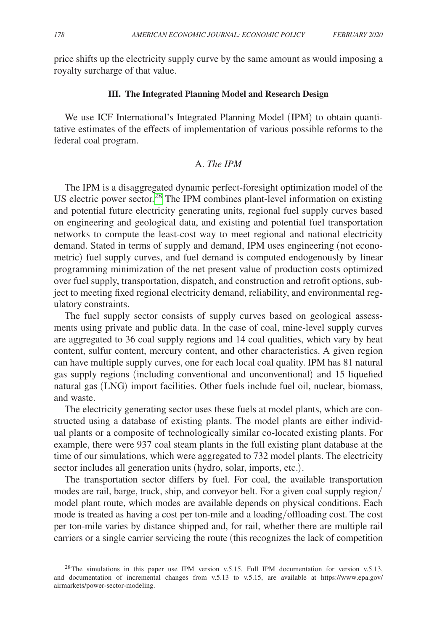price shifts up the electricity supply curve by the same amount as would imposing a royalty surcharge of that value.

#### **III. The Integrated Planning Model and Research Design**

We use ICF International's Integrated Planning Model (IPM) to obtain quantitative estimates of the effects of implementation of various possible reforms to the federal coal program.

## A. *The IPM*

The IPM is a disaggregated dynamic perfect-foresight optimization model of the US electric power sector.<sup>28</sup> The IPM combines plant-level information on existing and potential future electricity generating units, regional fuel supply curves based on engineering and geological data, and existing and potential fuel transportation networks to compute the least-cost way to meet regional and national electricity demand. Stated in terms of supply and demand, IPM uses engineering (not econometric) fuel supply curves, and fuel demand is computed endogenously by linear programming minimization of the net present value of production costs optimized over fuel supply, transportation, dispatch, and construction and retrofit options, subject to meeting fixed regional electricity demand, reliability, and environmental regulatory constraints.

The fuel supply sector consists of supply curves based on geological assessments using private and public data. In the case of coal, mine-level supply curves are aggregated to 36 coal supply regions and 14 coal qualities, which vary by heat content, sulfur content, mercury content, and other characteristics. A given region can have multiple supply curves, one for each local coal quality. IPM has 81 natural gas supply regions (including conventional and unconventional) and 15 liquefied natural gas (LNG) import facilities. Other fuels include fuel oil, nuclear, biomass, and waste.

The electricity generating sector uses these fuels at model plants, which are constructed using a database of existing plants. The model plants are either individual plants or a composite of technologically similar co-located existing plants. For example, there were 937 coal steam plants in the full existing plant database at the time of our simulations, which were aggregated to 732 model plants. The electricity sector includes all generation units (hydro, solar, imports, etc.).

The transportation sector differs by fuel. For coal, the available transportation modes are rail, barge, truck, ship, and conveyor belt. For a given coal supply region/ model plant route, which modes are available depends on physical conditions. Each mode is treated as having a cost per ton-mile and a loading/offloading cost. The cost per ton-mile varies by distance shipped and, for rail, whether there are multiple rail carriers or a single carrier servicing the route (this recognizes the lack of competition

<span id="page-11-0"></span><sup>&</sup>lt;sup>28</sup>The simulations in this paper use IPM version v.5.15. Full IPM documentation for version v.5.13, and documentation of incremental changes from v.5.13 to v.5.15, are available at [https://www.epa.gov/](https://www.epa.gov/airmarkets/­power-sector-modeling) [airmarkets/power-sector-modeling.](https://www.epa.gov/airmarkets/­power-sector-modeling)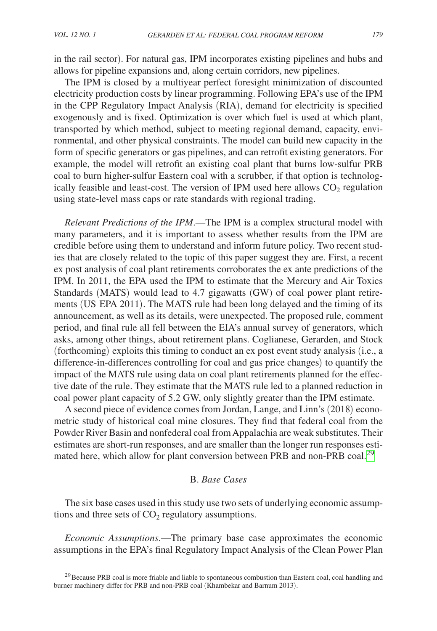in the rail sector). For natural gas, IPM incorporates existing pipelines and hubs and allows for pipeline expansions and, along certain corridors, new pipelines.

The IPM is closed by a multiyear perfect foresight minimization of discounted electricity production costs by linear programming. Following EPA's use of the IPM in the CPP Regulatory Impact Analysis (RIA), demand for electricity is specified exogenously and is fixed. Optimization is over which fuel is used at which plant, transported by which method, subject to meeting regional demand, capacity, environmental, and other physical constraints. The model can build new capacity in the form of specific generators or gas pipelines, and can retrofit existing generators. For example, the model will retrofit an existing coal plant that burns low-sulfur PRB coal to burn higher-sulfur Eastern coal with a scrubber, if that option is technologically feasible and least-cost. The version of IPM used here allows  $CO<sub>2</sub>$  regulation using state-level mass caps or rate standards with regional trading.

*Relevant Predictions of the IPM*.—The IPM is a complex structural model with many parameters, and it is important to assess whether results from the IPM are credible before using them to understand and inform future policy. Two recent studies that are closely related to the topic of this paper suggest they are. First, a recent ex post analysis of coal plant retirements corroborates the ex ante predictions of the IPM. In 2011, the EPA used the IPM to estimate that the Mercury and Air Toxics Standards (MATS) would lead to 4.7 gigawatts (GW) of coal power plant retirements (US EPA 2011). The MATS rule had been long delayed and the timing of its announcement, as well as its details, were unexpected. The proposed rule, comment period, and final rule all fell between the EIA's annual survey of generators, which asks, among other things, about retirement plans. Coglianese, Gerarden, and Stock (forthcoming) exploits this timing to conduct an ex post event study analysis (i.e., a difference-in-differences controlling for coal and gas price changes) to quantify the impact of the MATS rule using data on coal plant retirements planned for the effective date of the rule. They estimate that the MATS rule led to a planned reduction in coal power plant capacity of 5.2 GW, only slightly greater than the IPM estimate.

A second piece of evidence comes from Jordan, Lange, and Linn's (2018) econometric study of historical coal mine closures. They find that federal coal from the Powder River Basin and nonfederal coal from Appalachia are weak substitutes. Their estimates are short-run responses, and are smaller than the longer run responses esti-mated here, which allow for plant conversion between PRB and non-PRB coal.<sup>[29](#page-12-0)</sup>

# B. *Base Cases*

The six base cases used in this study use two sets of underlying economic assumptions and three sets of  $CO<sub>2</sub>$  regulatory assumptions.

*Economic Assumptions*.—The primary base case approximates the economic assumptions in the EPA's final Regulatory Impact Analysis of the Clean Power Plan

<span id="page-12-0"></span><sup>&</sup>lt;sup>29</sup>Because PRB coal is more friable and liable to spontaneous combustion than Eastern coal, coal handling and burner machinery differ for PRB and non-PRB coal (Khambekar and Barnum 2013).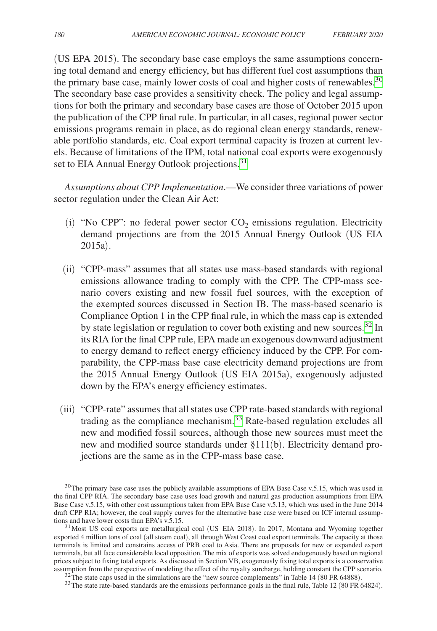(US EPA 2015). The secondary base case employs the same assumptions concerning total demand and energy efficiency, but has different fuel cost assumptions than the primary base case, mainly lower costs of coal and higher costs of renewables.<sup>30</sup> The secondary base case provides a sensitivity check. The policy and legal assumptions for both the primary and secondary base cases are those of October 2015 upon the publication of the CPP final rule. In particular, in all cases, regional power sector emissions programs remain in place, as do regional clean energy standards, renewable portfolio standards, etc. Coal export terminal capacity is frozen at current levels. Because of limitations of the IPM, total national coal exports were exogenously set to EIA Annual Energy Outlook projections.<sup>[31](#page-13-1)</sup>

*Assumptions about CPP Implementation*.—We consider three variations of power sector regulation under the Clean Air Act:

- (i) "No CPP": no federal power sector  $CO<sub>2</sub>$  emissions regulation. Electricity demand projections are from the 2015 Annual Energy Outlook (US EIA 2015a).
- (ii) "CPP-mass" assumes that all states use mass-based standards with regional emissions allowance trading to comply with the CPP. The CPP-mass scenario covers existing and new fossil fuel sources, with the exception of the exempted sources discussed in Section IB. The mass-based scenario is Compliance Option 1 in the CPP final rule, in which the mass cap is extended by state legislation or regulation to cover both existing and new sources[.32](#page-13-2) In its RIA for the final CPP rule, EPA made an exogenous downward adjustment to energy demand to reflect energy efficiency induced by the CPP. For comparability, the CPP-mass base case electricity demand projections are from the 2015 Annual Energy Outlook (US EIA 2015a), exogenously adjusted down by the EPA's energy efficiency estimates.
- (iii) "CPP-rate" assumes that all states use CPP rate-based standards with regional trading as the compliance mechanism.<sup>[33](#page-13-3)</sup> Rate-based regulation excludes all new and modified fossil sources, although those new sources must meet the new and modified source standards under §111(b). Electricity demand projections are the same as in the CPP-mass base case.

<span id="page-13-0"></span> $30$ The primary base case uses the publicly available assumptions of EPA Base Case v.5.15, which was used in the final CPP RIA. The secondary base case uses load growth and natural gas production assumptions from EPA Base Case v.5.15, with other cost assumptions taken from EPA Base Case v.5.13, which was used in the June 2014 draft CPP RIA; however, the coal supply curves for the alternative base case were based on ICF internal assumptions and have lower costs than EPA's v.5.15.<br> $31$ Most US coal exports are metallurgical coal (US EIA 2018). In 2017, Montana and Wyoming together

<span id="page-13-1"></span>exported 4 million tons of coal (all steam coal), all through West Coast coal export terminals. The capacity at those terminals is limited and constrains access of PRB coal to Asia. There are proposals for new or expanded export terminals, but all face considerable local opposition. The mix of exports was solved endogenously based on regional prices subject to fixing total exports. As discussed in Section VB, exogenously fixing total exports is a conservative assumption from the perspective of modeling the effect of the royalty surcharge, holding constant the CPP scenario.<br><sup>32</sup>The state caps used in the simulations are the "new source complements" in Table 14 (80 FR 64888).<br><sup>3</sup>

<span id="page-13-2"></span>

<span id="page-13-3"></span>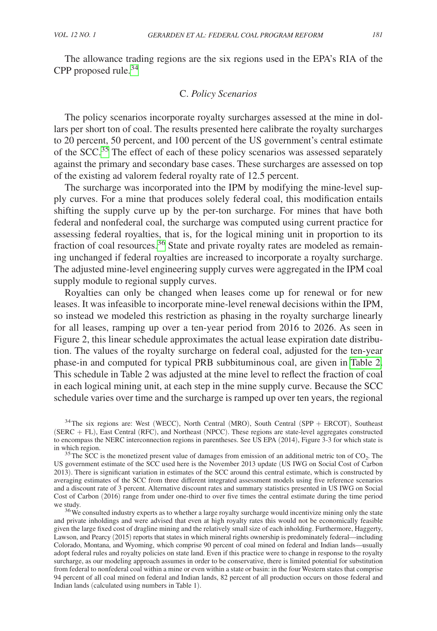The allowance trading regions are the six regions used in the EPA's RIA of the CPP proposed rule.<sup>[34](#page-14-0)</sup>

### C. *Policy Scenarios*

The policy scenarios incorporate royalty surcharges assessed at the mine in dollars per short ton of coal. The results presented here calibrate the royalty surcharges to 20 percent, 50 percent, and 100 percent of the US government's central estimate of the SCC[.35](#page-14-1) The effect of each of these policy scenarios was assessed separately against the primary and secondary base cases. These surcharges are assessed on top of the existing ad valorem federal royalty rate of 12.5 percent.

The surcharge was incorporated into the IPM by modifying the mine-level supply curves. For a mine that produces solely federal coal, this modification entails shifting the supply curve up by the per-ton surcharge. For mines that have both federal and nonfederal coal, the surcharge was computed using current practice for assessing federal royalties, that is, for the logical mining unit in proportion to its fraction of coal resources.<sup>36</sup> State and private royalty rates are modeled as remaining unchanged if federal royalties are increased to incorporate a royalty surcharge. The adjusted mine-level engineering supply curves were aggregated in the IPM coal supply module to regional supply curves.

Royalties can only be changed when leases come up for renewal or for new leases. It was infeasible to incorporate mine-level renewal decisions within the IPM, so instead we modeled this restriction as phasing in the royalty surcharge linearly for all leases, ramping up over a ten-year period from 2016 to 2026. As seen in Figure 2, this linear schedule approximates the actual lease expiration date distribution. The values of the royalty surcharge on federal coal, adjusted for the ten-year phase-in and computed for typical PRB subbituminous coal, are given in [Table 2.](#page-15-0) This schedule in Table 2 was adjusted at the mine level to reflect the fraction of coal in each logical mining unit, at each step in the mine supply curve. Because the SCC schedule varies over time and the surcharge is ramped up over ten years, the regional

<span id="page-14-1"></span><sup>35</sup>The SCC is the monetized present value of damages from emission of an additional metric ton of CO<sub>2</sub>. The US government estimate of the SCC used here is the November 2013 update (US IWG on Social Cost of Carbon 2013). There is significant variation in estimates of the SCC around this central estimate, which is constructed by averaging estimates of the SCC from three different integrated assessment models using five reference scenarios and a discount rate of 3 percent. Alternative discount rates and summary statistics presented in US IWG on Social Cost of Carbon (2016) range from under one-third to over five times the central estimate during the time period we study.

<span id="page-14-2"></span><sup>36</sup>We consulted industry experts as to whether a large royalty surcharge would incentivize mining only the state and private inholdings and were advised that even at high royalty rates this would not be economically feasible given the large fixed cost of dragline mining and the relatively small size of each inholding. Furthermore, Haggerty, Lawson, and Pearcy (2015) reports that states in which mineral rights ownership is predominately federal—including Colorado, Montana, and Wyoming, which comprise 90 percent of coal mined on federal and Indian lands—usually adopt federal rules and royalty policies on state land. Even if this practice were to change in response to the royalty surcharge, as our modeling approach assumes in order to be conservative, there is limited potential for substitution from federal to nonfederal coal within a mine or even within a state or basin: in the four Western states that comprise 94 percent of all coal mined on federal and Indian lands, 82 percent of all production occurs on those federal and Indian lands (calculated using numbers in Table 1).

<span id="page-14-0"></span><sup>&</sup>lt;sup>34</sup>The six regions are: West (WECC), North Central (MRO), South Central (SPP + ERCOT), Southeast (SERC + FL), East Central (RFC), and Northeast (NPCC). These regions are state-level aggregates constructed to encompass the NERC interconnection regions in parentheses. See US EPA (2014), Figure 3-3 for which state is in which region.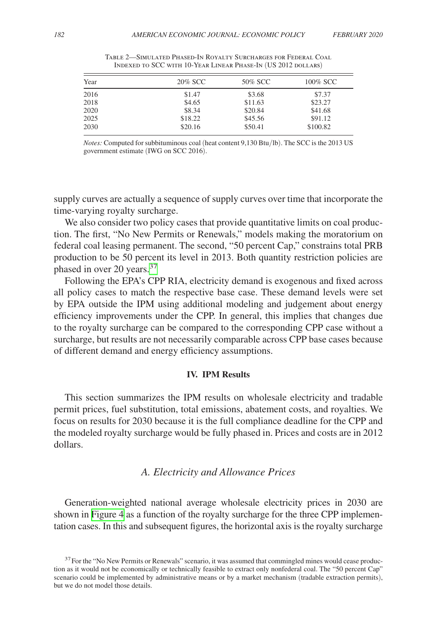<span id="page-15-0"></span>

| Year | 20% SCC | 50% SCC | 100% SCC |
|------|---------|---------|----------|
| 2016 | \$1.47  | \$3.68  | \$7.37   |
| 2018 | \$4.65  | \$11.63 | \$23.27  |
| 2020 | \$8.34  | \$20.84 | \$41.68  |
| 2025 | \$18.22 | \$45.56 | \$91.12  |
| 2030 | \$20.16 | \$50.41 | \$100.82 |

Table 2—Simulated Phased-In Royalty Surcharges for Federal Coal Indexed to SCC with 10-Year Linear Phase-In (US 2012 dollars)

*Notes:* Computed for subbituminous coal (heat content 9,130 Btu/lb). The SCC is the 2013 US government estimate (IWG on SCC 2016).

supply curves are actually a sequence of supply curves over time that incorporate the time-varying royalty surcharge.

We also consider two policy cases that provide quantitative limits on coal production. The first, "No New Permits or Renewals," models making the moratorium on federal coal leasing permanent. The second, "50 percent Cap," constrains total PRB production to be 50 percent its level in 2013. Both quantity restriction policies are phased in over 20 years.<sup>37</sup>

Following the EPA's CPP RIA, electricity demand is exogenous and fixed across all policy cases to match the respective base case. These demand levels were set by EPA outside the IPM using additional modeling and judgement about energy efficiency improvements under the CPP. In general, this implies that changes due to the royalty surcharge can be compared to the corresponding CPP case without a surcharge, but results are not necessarily comparable across CPP base cases because of different demand and energy efficiency assumptions.

#### **IV. IPM Results**

This section summarizes the IPM results on wholesale electricity and tradable permit prices, fuel substitution, total emissions, abatement costs, and royalties. We focus on results for 2030 because it is the full compliance deadline for the CPP and the modeled royalty surcharge would be fully phased in. Prices and costs are in 2012 dollars.

# *A. Electricity and Allowance Prices*

Generation-weighted national average wholesale electricity prices in 2030 are shown in [Figure 4](#page-16-0) as a function of the royalty surcharge for the three CPP implementation cases. In this and subsequent figures, the horizontal axis is the royalty surcharge

<span id="page-15-1"></span><sup>&</sup>lt;sup>37</sup> For the "No New Permits or Renewals" scenario, it was assumed that commingled mines would cease production as it would not be economically or technically feasible to extract only nonfederal coal. The "50 percent Cap" scenario could be implemented by administrative means or by a market mechanism (tradable extraction permits), but we do not model those details.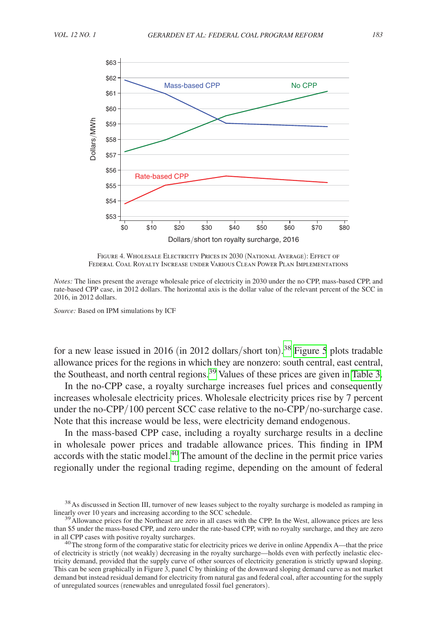<span id="page-16-0"></span>

Figure 4. Wholesale Electricity Prices in 2030 (National Average): Effect of Federal Coal Royalty Increase under Various Clean Power Plan Implementations

*Notes:* The lines present the average wholesale price of electricity in 2030 under the no CPP, mass-based CPP, and rate-based CPP case, in 2012 dollars. The horizontal axis is the dollar value of the relevant percent of the SCC in 2016, in 2012 dollars.

*Source:* Based on IPM simulations by ICF

for a new lease issued in 2016 (in 2012 dollars/short ton).<sup>[38](#page-16-1)</sup> [Figure 5](#page-17-0) plots tradable allowance prices for the regions in which they are nonzero: south central, east central, the Southeast, and north central regions.<sup>39</sup> Values of these prices are given in [Table 3](#page-17-0).

In the no-CPP case, a royalty surcharge increases fuel prices and consequently increases wholesale electricity prices. Wholesale electricity prices rise by 7 percent under the no-CPP/100 percent SCC case relative to the no-CPP/no-surcharge case. Note that this increase would be less, were electricity demand endogenous.

In the mass-based CPP case, including a royalty surcharge results in a decline in wholesale power prices and tradable allowance prices. This finding in IPM accords with the static model.[40](#page-16-3) The amount of the decline in the permit price varies regionally under the regional trading regime, depending on the amount of federal

<span id="page-16-1"></span><sup>&</sup>lt;sup>38</sup>As discussed in Section III, turnover of new leases subject to the royalty surcharge is modeled as ramping in linearly over 10 years and increasing according to the SCC schedule.

<span id="page-16-2"></span><sup>&</sup>lt;sup>39</sup> Allowance prices for the Northeast are zero in all cases with the CPP. In the West, allowance prices are less than \$5 under the mass-based CPP, and zero under the rate-based CPP, with no royalty surcharge, and they are zero in all CPP cases with positive royalty surcharges.

<span id="page-16-3"></span><sup>&</sup>lt;sup>40</sup>The strong form of the comparative static for electricity prices we derive in online Appendix A—that the price of electricity is strictly (not weakly) decreasing in the royalty surcharge—holds even with perfectly inelastic electricity demand, provided that the supply curve of other sources of electricity generation is strictly upward sloping. This can be seen graphically in Figure 3, panel C by thinking of the downward sloping demand curve as not market demand but instead residual demand for electricity from natural gas and federal coal, after accounting for the supply of unregulated sources (renewables and unregulated fossil fuel generators).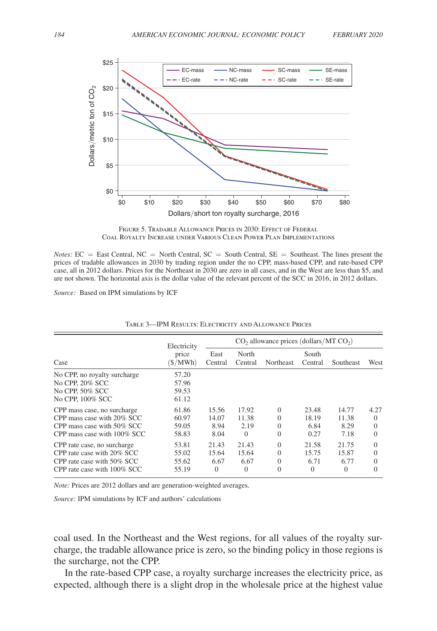<span id="page-17-0"></span>

Figure 5. Tradable Allowance Prices in 2030: Effect of Federal Coal Royalty Increase under Various Clean Power Plan Implementations

*Notes:*  $EC =$  East Central,  $NC =$  North Central,  $SC =$  South Central,  $SE =$  Southeast. The lines present the prices of tradable allowances in 2030 by trading region under the no CPP, mass-based CPP, and rate-based CPP case, all in 2012 dollars. Prices for the Northeast in 2030 are zero in all cases, and in the West are less than \$5, and are not shown. The horizontal axis is the dollar value of the relevant percent of the SCC in 2016, in 2012 dollars.

*Source:* Based on IPM simulations by ICF

|                              | Electricity      | $CO2$ , allowance prices (dollars/MT $CO2$ ) |                  |           |                  |           |          |  |  |
|------------------------------|------------------|----------------------------------------------|------------------|-----------|------------------|-----------|----------|--|--|
| Case                         | price<br>(S/MWh) | East<br>Central                              | North<br>Central | Northeast | South<br>Central | Southeast | West     |  |  |
| No CPP, no royalty surcharge | 57.20            |                                              |                  |           |                  |           |          |  |  |
| No CPP, 20% SCC              | 57.96            |                                              |                  |           |                  |           |          |  |  |
| No CPP, 50% SCC              | 59.53            |                                              |                  |           |                  |           |          |  |  |
| No CPP, 100% SCC             | 61.12            |                                              |                  |           |                  |           |          |  |  |
| CPP mass case, no surcharge  | 61.86            | 15.56                                        | 17.92            | $\Omega$  | 23.48            | 14.77     | 4.27     |  |  |
| CPP mass case with 20% SCC   | 60.97            | 14.07                                        | 11.38            | 0         | 18.19            | 11.38     | $\Omega$ |  |  |
| CPP mass case with 50% SCC   | 59.05            | 8.94                                         | 2.19             | 0         | 6.84             | 8.29      | $\Omega$ |  |  |
| CPP mass case with 100% SCC  | 58.83            | 8.04                                         | $\Omega$         | 0         | 0.27             | 7.18      | $\Omega$ |  |  |
| CPP rate case, no surcharge  | 53.81            | 21.43                                        | 21.43            | $\Omega$  | 21.58            | 21.75     | $\Omega$ |  |  |
| CPP rate case with 20% SCC   | 55.02            | 15.64                                        | 15.64            | $\Omega$  | 15.75            | 15.87     | $\Omega$ |  |  |
| CPP rate case with 50% SCC   | 55.62            | 6.67                                         | 6.67             | 0         | 6.71             | 6.77      | $\Omega$ |  |  |
| CPP rate case with 100% SCC  | 55.19            | $\Omega$                                     | $\Omega$         | $\Omega$  | $\Omega$         | $\Omega$  | $\Omega$ |  |  |

Table 3—IPM Results: Electricity and Allowance Prices

*Note:* Prices are 2012 dollars and are generation-weighted averages.

*Source:* IPM simulations by ICF and authors' calculations

coal used. In the Northeast and the West regions, for all values of the royalty surcharge, the tradable allowance price is zero, so the binding policy in those regions is the surcharge, not the CPP.

In the rate-based CPP case, a royalty surcharge increases the electricity price, as expected, although there is a slight drop in the wholesale price at the highest value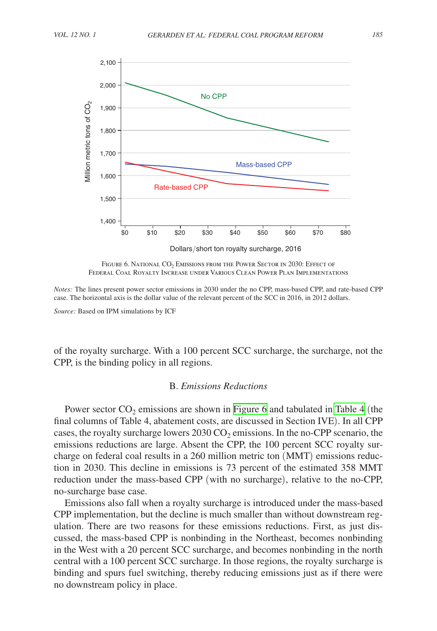

FIGURE 6. NATIONAL  $CO_2$  EMISSIONS FROM THE POWER SECTOR IN 2030: EFFECT OF Federal Coal Royalty Increase under Various Clean Power Plan Implementations

*Notes:* The lines present power sector emissions in 2030 under the no CPP, mass-based CPP, and rate-based CPP case. The horizontal axis is the dollar value of the relevant percent of the SCC in 2016, in 2012 dollars.

*Source:* Based on IPM simulations by ICF

of the royalty surcharge. With a 100 percent SCC surcharge, the surcharge, not the CPP, is the binding policy in all regions.

## B. *Emissions Reductions*

Power sector  $CO<sub>2</sub>$  emissions are shown in Figure 6 and tabulated in [Table 4](#page-19-0) (the final columns of Table 4, abatement costs, are discussed in Section IVE). In all CPP cases, the royalty surcharge lowers  $2030 \text{ CO}_2$  emissions. In the no-CPP scenario, the emissions reductions are large. Absent the CPP, the 100 percent SCC royalty surcharge on federal coal results in a 260 million metric ton (MMT) emissions reduction in 2030. This decline in emissions is 73 percent of the estimated 358 MMT reduction under the mass-based CPP (with no surcharge), relative to the no-CPP, no-surcharge base case.

Emissions also fall when a royalty surcharge is introduced under the mass-based CPP implementation, but the decline is much smaller than without downstream regulation. There are two reasons for these emissions reductions. First, as just discussed, the mass-based CPP is nonbinding in the Northeast, becomes nonbinding in the West with a 20 percent SCC surcharge, and becomes nonbinding in the north central with a 100 percent SCC surcharge. In those regions, the royalty surcharge is binding and spurs fuel switching, thereby reducing emissions just as if there were no downstream policy in place.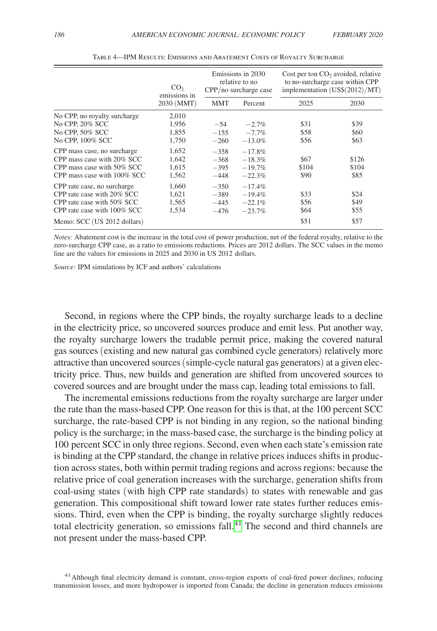<span id="page-19-0"></span>

|                                                                                                                        | CO <sub>2</sub><br>emissions in  |                                      | Emissions in 2030<br>relative to no<br>$CPP/no$ surcharge case | Cost per ton CO <sub>2</sub> avoided, relative<br>to no-surcharge case within CPP<br>implementation $(US\$(2012)/MT)$ |                        |  |
|------------------------------------------------------------------------------------------------------------------------|----------------------------------|--------------------------------------|----------------------------------------------------------------|-----------------------------------------------------------------------------------------------------------------------|------------------------|--|
|                                                                                                                        | 2030 (MMT)                       | <b>MMT</b>                           | Percent                                                        | 2025                                                                                                                  | 2030                   |  |
| No CPP, no royalty surcharge<br>No CPP, 20% SCC<br>No CPP, 50% SCC<br>No CPP, 100% SCC                                 | 2,010<br>1,956<br>1,855<br>1,750 | $-54$<br>$-155$<br>$-260$            | $-2.7%$<br>$-7.7\%$<br>$-13.0\%$                               | \$31<br>\$58<br>\$56                                                                                                  | \$39<br>\$60<br>\$63   |  |
| CPP mass case, no surcharge<br>CPP mass case with 20% SCC<br>CPP mass case with 50% SCC<br>CPP mass case with 100% SCC | 1,652<br>1,642<br>1,615<br>1,562 | $-358$<br>$-368$<br>$-395$<br>$-448$ | $-17.8%$<br>$-18.3%$<br>$-19.7%$<br>$-22.3%$                   | \$67<br>\$104<br>\$90                                                                                                 | \$126<br>\$104<br>\$85 |  |
| CPP rate case, no surcharge<br>CPP rate case with 20% SCC<br>CPP rate case with 50% SCC<br>CPP rate case with 100% SCC | 1,660<br>1,621<br>1,565<br>1,534 | $-350$<br>$-389$<br>$-445$<br>$-476$ | $-17.4%$<br>$-19.4%$<br>$-22.1%$<br>$-23.7%$                   | \$33<br>\$56<br>\$64                                                                                                  | \$24<br>\$49<br>\$55   |  |
| Memo: SCC (US 2012 dollars)                                                                                            |                                  |                                      |                                                                | \$51                                                                                                                  | \$57                   |  |

Table 4—IPM Results: Emissions and Abatement Costs of Royalty Surcharge

*Notes:* Abatement cost is the increase in the total cost of power production, net of the federal royalty, relative to the zero-surcharge CPP case, as a ratio to emissions reductions. Prices are 2012 dollars. The SCC values in the memo line are the values for emissions in 2025 and 2030 in US 2012 dollars.

*Source:* IPM simulations by ICF and authors' calculations

Second, in regions where the CPP binds, the royalty surcharge leads to a decline in the electricity price, so uncovered sources produce and emit less. Put another way, the royalty surcharge lowers the tradable permit price, making the covered natural gas sources (existing and new natural gas combined cycle generators) relatively more attractive than uncovered sources (simple-cycle natural gas generators) at a given electricity price. Thus, new builds and generation are shifted from uncovered sources to covered sources and are brought under the mass cap, leading total emissions to fall.

The incremental emissions reductions from the royalty surcharge are larger under the rate than the mass-based CPP. One reason for this is that, at the 100 percent SCC surcharge, the rate-based CPP is not binding in any region, so the national binding policy is the surcharge; in the mass-based case, the surcharge is the binding policy at 100 percent SCC in only three regions. Second, even when each state's emission rate is binding at the CPP standard, the change in relative prices induces shifts in production across states, both within permit trading regions and across regions: because the relative price of coal generation increases with the surcharge, generation shifts from coal-using states (with high CPP rate standards) to states with renewable and gas generation. This compositional shift toward lower rate states further reduces emissions. Third, even when the CPP is binding, the royalty surcharge slightly reduces total electricity generation, so emissions fall.<sup>41</sup> The second and third channels are not present under the mass-based CPP.

<span id="page-19-1"></span><sup>&</sup>lt;sup>41</sup> Although final electricity demand is constant, cross-region exports of coal-fired power declines, reducing transmission losses, and more hydropower is imported from Canada; the decline in generation reduces emissions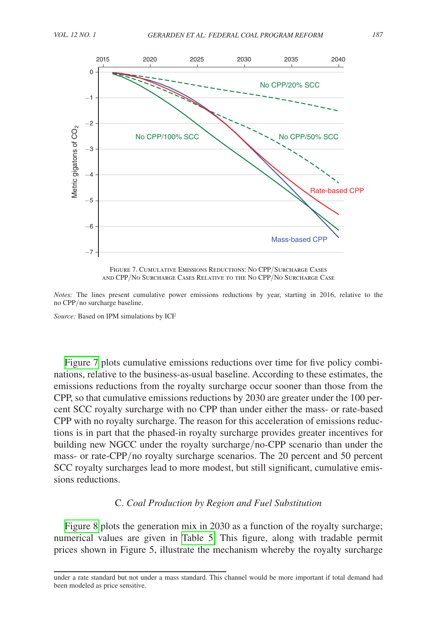

Figure 7. Cumulative Emissions Reductions: No CPP/Surcharge Cases and CPP/No Surcharge Cases Relative to the No CPP/No Surcharge Case

*Notes:* The lines present cumulative power emissions reductions by year, starting in 2016, relative to the no CPP/no surcharge baseline.

*Source:* Based on IPM simulations by ICF

Figure 7 plots cumulative emissions reductions over time for five policy combinations, relative to the business-as-usual baseline. According to these estimates, the emissions reductions from the royalty surcharge occur sooner than those from the CPP, so that cumulative emissions reductions by 2030 are greater under the 100 percent SCC royalty surcharge with no CPP than under either the mass- or rate-based CPP with no royalty surcharge. The reason for this acceleration of emissions reductions is in part that the phased-in royalty surcharge provides greater incentives for building new NGCC under the royalty surcharge/no-CPP scenario than under the mass- or rate-CPP/no royalty surcharge scenarios. The 20 percent and 50 percent SCC royalty surcharges lead to more modest, but still significant, cumulative emissions reductions.

#### C. *Coal Production by Region and Fuel Substitution*

[Figure 8](#page-21-0) plots the generation mix in 2030 as a function of the royalty surcharge; numerical values are given in [Table 5.](#page-21-0) This figure, along with tradable permit prices shown in Figure 5, illustrate the mechanism whereby the royalty surcharge

under a rate standard but not under a mass standard. This channel would be more important if total demand had been modeled as price sensitive.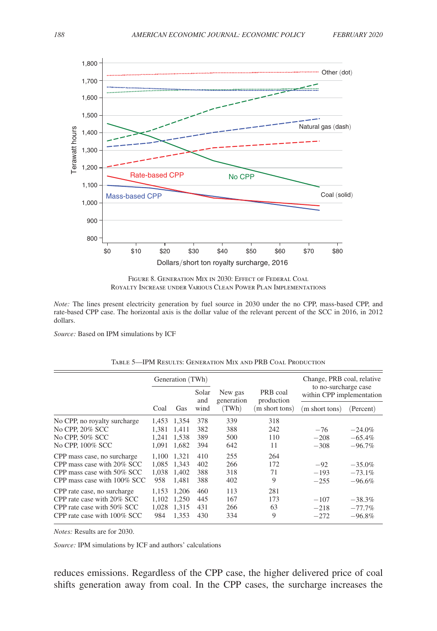<span id="page-21-0"></span>

Figure 8. Generation Mix in 2030: Effect of Federal Coal Royalty Increase under Various Clean Power Plan Implementations

*Note:* The lines present electricity generation by fuel source in 2030 under the no CPP, mass-based CPP, and rate-based CPP case. The horizontal axis is the dollar value of the relevant percent of the SCC in 2016, in 2012 dollars.

*Source:* Based on IPM simulations by ICF

|                                | Generation (TWh)<br>Solar |       | New gas     | PRB coal            | Change, PRB coal, relative<br>to no-surcharge case<br>within CPP implementation |                |           |
|--------------------------------|---------------------------|-------|-------------|---------------------|---------------------------------------------------------------------------------|----------------|-----------|
|                                | Coal                      | Gas   | and<br>wind | generation<br>(TWh) | production<br>(m short tons)                                                    | (m short tons) | (Percent) |
| No CPP, no royalty surcharge   | 1.453                     | 1,354 | 378         | 339                 | 318                                                                             |                |           |
| No CPP, 20% SCC                | 1.381                     | 1.411 | 382         | 388                 | 242                                                                             | $-76$          | $-24.0%$  |
| No CPP, 50% SCC                | 1.241                     | 1,538 | 389         | 500                 | 110                                                                             | $-208$         | $-65.4%$  |
| No CPP, 100% SCC               | 1.091                     | 1,682 | 394         | 642                 | 11                                                                              | $-308$         | $-96.7\%$ |
| CPP mass case, no surcharge    | 1.100                     | 1.321 | 410         | 255                 | 264                                                                             |                |           |
| CPP mass case with 20% SCC     | 1.085                     | 1.343 | 402         | 266                 | 172                                                                             | $-92$          | $-35.0%$  |
| CPP mass case with 50% SCC     | 1.038                     | 1.402 | 388         | 318                 | 71                                                                              | $-193$         | $-73.1%$  |
| CPP mass case with $100\%$ SCC | 958                       | 1.481 | 388         | 402                 | 9                                                                               | $-255$         | $-96.6%$  |
| CPP rate case, no surcharge    | 1,153                     | 1,206 | 460         | 113                 | 281                                                                             |                |           |
| CPP rate case with 20% SCC     | 1.102                     | 1.250 | 445         | 167                 | 173                                                                             | $-107$         | $-38.3%$  |
| CPP rate case with 50% SCC     | 1.028                     | 1.315 | 431         | 266                 | 63                                                                              | $-218$         | $-77.7%$  |
| CPP rate case with 100% SCC    | 984                       | 1.353 | 430         | 334                 | 9                                                                               | $-272$         | $-96.8%$  |

Table 5—IPM Results: Generation Mix and PRB Coal Production

*Notes:* Results are for 2030.

*Source:* IPM simulations by ICF and authors' calculations

reduces emissions. Regardless of the CPP case, the higher delivered price of coal shifts generation away from coal. In the CPP cases, the surcharge increases the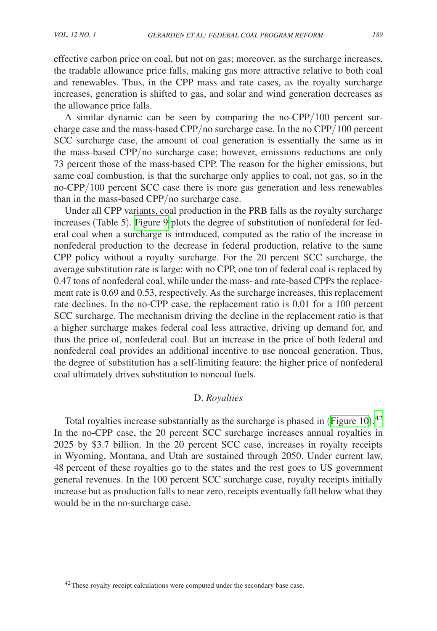effective carbon price on coal, but not on gas; moreover, as the surcharge increases, the tradable allowance price falls, making gas more attractive relative to both coal and renewables. Thus, in the CPP mass and rate cases, as the royalty surcharge increases, generation is shifted to gas, and solar and wind generation decreases as the allowance price falls.

A similar dynamic can be seen by comparing the no-CPP/100 percent surcharge case and the mass-based CPP/no surcharge case. In the no CPP/100 percent SCC surcharge case, the amount of coal generation is essentially the same as in the mass-based CPP/no surcharge case; however, emissions reductions are only 73 percent those of the mass-based CPP. The reason for the higher emissions, but same coal combustion, is that the surcharge only applies to coal, not gas, so in the no-CPP/100 percent SCC case there is more gas generation and less renewables than in the mass-based CPP/no surcharge case.

Under all CPP variants, coal production in the PRB falls as the royalty surcharge increases (Table 5). [Figure 9](#page-23-0) plots the degree of substitution of nonfederal for federal coal when a surcharge is introduced, computed as the ratio of the increase in nonfederal production to the decrease in federal production, relative to the same CPP policy without a royalty surcharge. For the 20 percent SCC surcharge, the average substitution rate is large: with no CPP, one ton of federal coal is replaced by 0.47 tons of nonfederal coal, while under the mass- and rate-based CPPs the replacement rate is 0.69 and 0.53, respectively. As the surcharge increases, this replacement rate declines. In the no-CPP case, the replacement ratio is 0.01 for a 100 percent SCC surcharge. The mechanism driving the decline in the replacement ratio is that a higher surcharge makes federal coal less attractive, driving up demand for, and thus the price of, nonfederal coal. But an increase in the price of both federal and nonfederal coal provides an additional incentive to use noncoal generation. Thus, the degree of substitution has a self-limiting feature: the higher price of nonfederal coal ultimately drives substitution to noncoal fuels.

#### D. *Royalties*

Total royalties increase substantially as the surcharge is phased in ([Figure 10](#page-23-0)).<sup>[42](#page-22-0)</sup> In the no-CPP case, the 20 percent SCC surcharge increases annual royalties in 2025 by \$3.7 billion. In the 20 percent SCC case, increases in royalty receipts in Wyoming, Montana, and Utah are sustained through 2050. Under current law, 48 percent of these royalties go to the states and the rest goes to US government general revenues. In the 100 percent SCC surcharge case, royalty receipts initially increase but as production falls to near zero, receipts eventually fall below what they would be in the no-surcharge case.

<span id="page-22-0"></span><sup>&</sup>lt;sup>42</sup>These royalty receipt calculations were computed under the secondary base case.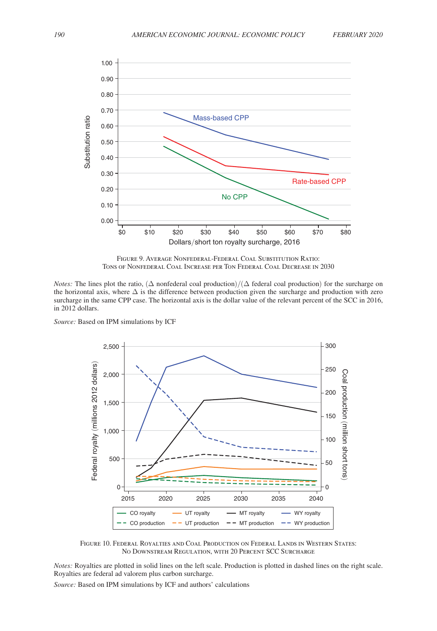<span id="page-23-0"></span>

Figure 9. Average Nonfederal-Federal Coal Substitution Ratio: Tons of Nonfederal Coal Increase per Ton Federal Coal Decrease in 2030

*Notes:* The lines plot the ratio,  $(\Delta$  nonfederal coal production)/ $(\Delta$  federal coal production) for the surcharge on the horizontal axis, where  $\Delta$  is the difference between production given the surcharge and production with zero surcharge in the same CPP case. The horizontal axis is the dollar value of the relevant percent of the SCC in 2016, in 2012 dollars.

*Source:* Based on IPM simulations by ICF



Figure 10. Federal Royalties and Coal Production on Federal Lands in Western States: No Downstream Regulation, with 20 Percent SCC Surcharge

*Notes:* Royalties are plotted in solid lines on the left scale. Production is plotted in dashed lines on the right scale. Royalties are federal ad valorem plus carbon surcharge.

*Source:* Based on IPM simulations by ICF and authors' calculations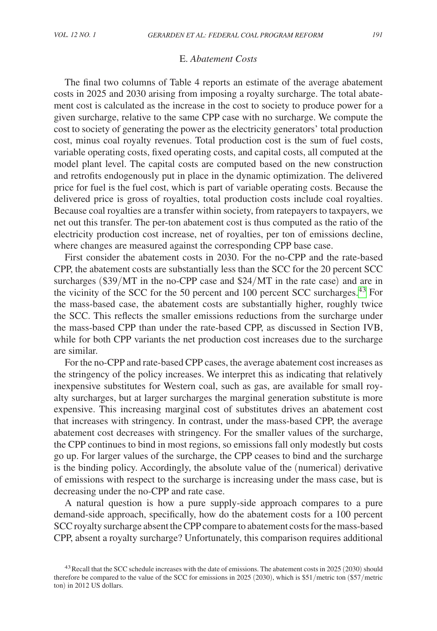## E. *Abatement Costs*

The final two columns of Table 4 reports an estimate of the average abatement costs in 2025 and 2030 arising from imposing a royalty surcharge. The total abatement cost is calculated as the increase in the cost to society to produce power for a given surcharge, relative to the same CPP case with no surcharge. We compute the cost to society of generating the power as the electricity generators' total production cost, minus coal royalty revenues. Total production cost is the sum of fuel costs, variable operating costs, fixed operating costs, and capital costs, all computed at the model plant level. The capital costs are computed based on the new construction and retrofits endogenously put in place in the dynamic optimization. The delivered price for fuel is the fuel cost, which is part of variable operating costs. Because the delivered price is gross of royalties, total production costs include coal royalties. Because coal royalties are a transfer within society, from ratepayers to taxpayers, we net out this transfer. The per-ton abatement cost is thus computed as the ratio of the electricity production cost increase, net of royalties, per ton of emissions decline, where changes are measured against the corresponding CPP base case.

First consider the abatement costs in 2030. For the no-CPP and the rate-based CPP, the abatement costs are substantially less than the SCC for the 20 percent SCC surcharges (\$39/MT in the no-CPP case and \$24/MT in the rate case) and are in the vicinity of the SCC for the 50 percent and 100 percent SCC surcharges.<sup>43</sup> For the mass-based case, the abatement costs are substantially higher, roughly twice the SCC. This reflects the smaller emissions reductions from the surcharge under the mass-based CPP than under the rate-based CPP, as discussed in Section IVB, while for both CPP variants the net production cost increases due to the surcharge are similar.

For the no-CPP and rate-based CPP cases, the average abatement cost increases as the stringency of the policy increases. We interpret this as indicating that relatively inexpensive substitutes for Western coal, such as gas, are available for small royalty surcharges, but at larger surcharges the marginal generation substitute is more expensive. This increasing marginal cost of substitutes drives an abatement cost that increases with stringency. In contrast, under the mass-based CPP, the average abatement cost decreases with stringency. For the smaller values of the surcharge, the CPP continues to bind in most regions, so emissions fall only modestly but costs go up. For larger values of the surcharge, the CPP ceases to bind and the surcharge is the binding policy. Accordingly, the absolute value of the (numerical) derivative of emissions with respect to the surcharge is increasing under the mass case, but is decreasing under the no-CPP and rate case.

A natural question is how a pure supply-side approach compares to a pure demand-side approach, specifically, how do the abatement costs for a 100 percent SCC royalty surcharge absent the CPP compare to abatement costs for the mass-based CPP, absent a royalty surcharge? Unfortunately, this comparison requires additional

<span id="page-24-0"></span><sup>&</sup>lt;sup>43</sup> Recall that the SCC schedule increases with the date of emissions. The abatement costs in 2025 (2030) should therefore be compared to the value of the SCC for emissions in 2025 (2030), which is \$51/metric ton (\$57/metric ton) in 2012 US dollars.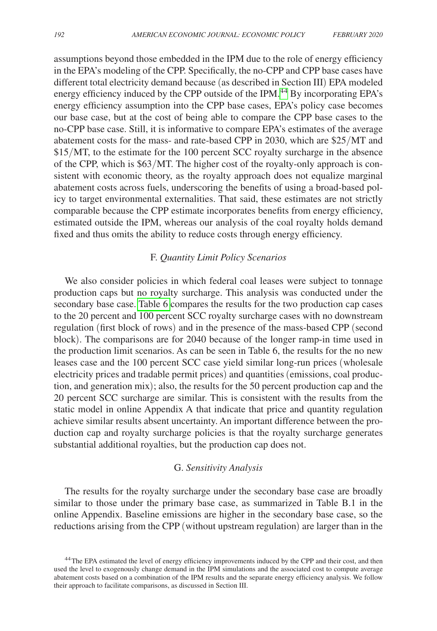assumptions beyond those embedded in the IPM due to the role of energy efficiency in the EPA's modeling of the CPP. Specifically, the no-CPP and CPP base cases have different total electricity demand because (as described in Section III) EPA modeled energy efficiency induced by the CPP outside of the IPM.<sup>44</sup> By incorporating EPA's energy efficiency assumption into the CPP base cases, EPA's policy case becomes our base case, but at the cost of being able to compare the CPP base cases to the no-CPP base case. Still, it is informative to compare EPA's estimates of the average abatement costs for the mass- and rate-based CPP in 2030, which are \$25/MT and \$15/MT, to the estimate for the 100 percent SCC royalty surcharge in the absence of the CPP, which is \$63/MT. The higher cost of the royalty-only approach is consistent with economic theory, as the royalty approach does not equalize marginal abatement costs across fuels, underscoring the benefits of using a broad-based policy to target environmental externalities. That said, these estimates are not strictly comparable because the CPP estimate incorporates benefits from energy efficiency, estimated outside the IPM, whereas our analysis of the coal royalty holds demand fixed and thus omits the ability to reduce costs through energy efficiency.

## F. *Quantity Limit Policy Scenarios*

We also consider policies in which federal coal leases were subject to tonnage production caps but no royalty surcharge. This analysis was conducted under the secondary base case. [Table 6](#page-26-0) compares the results for the two production cap cases to the 20 percent and 100 percent SCC royalty surcharge cases with no downstream regulation (first block of rows) and in the presence of the mass-based CPP (second block). The comparisons are for 2040 because of the longer ramp-in time used in the production limit scenarios. As can be seen in Table 6, the results for the no new leases case and the 100 percent SCC case yield similar long-run prices (wholesale electricity prices and tradable permit prices) and quantities (emissions, coal production, and generation mix); also, the results for the 50 percent production cap and the 20 percent SCC surcharge are similar. This is consistent with the results from the static model in online Appendix A that indicate that price and quantity regulation achieve similar results absent uncertainty. An important difference between the production cap and royalty surcharge policies is that the royalty surcharge generates substantial additional royalties, but the production cap does not.

## G. *Sensitivity Analysis*

The results for the royalty surcharge under the secondary base case are broadly similar to those under the primary base case, as summarized in Table B.1 in the online Appendix. Baseline emissions are higher in the secondary base case, so the reductions arising from the CPP (without upstream regulation) are larger than in the

<span id="page-25-0"></span><sup>&</sup>lt;sup>44</sup>The EPA estimated the level of energy efficiency improvements induced by the CPP and their cost, and then used the level to exogenously change demand in the IPM simulations and the associated cost to compute average abatement costs based on a combination of the IPM results and the separate energy efficiency analysis. We follow their approach to facilitate comparisons, as discussed in Section III.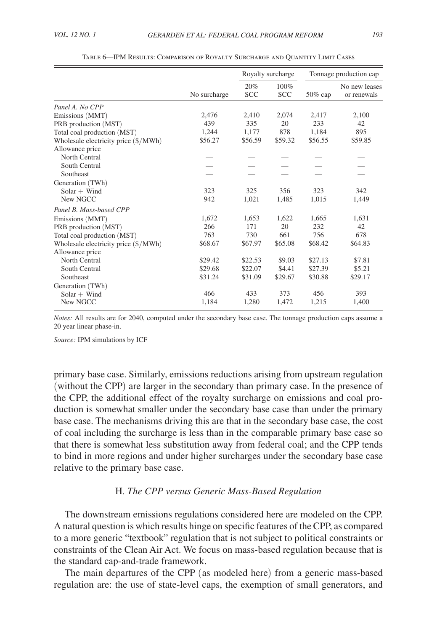<span id="page-26-0"></span>

|                                                         |              |                   | Royalty surcharge  |            | Tonnage production cap       |  |
|---------------------------------------------------------|--------------|-------------------|--------------------|------------|------------------------------|--|
|                                                         | No surcharge | 20%<br><b>SCC</b> | 100%<br><b>SCC</b> | $50\%$ cap | No new leases<br>or renewals |  |
| Panel A. No CPP                                         |              |                   |                    |            |                              |  |
| Emissions (MMT)                                         | 2,476        | 2,410             | 2,074              | 2,417      | 2,100                        |  |
| PRB production (MST)                                    | 439          | 335               | 20                 | 233        | 42                           |  |
| Total coal production (MST)                             | 1,244        | 1,177             | 878                | 1.184      | 895                          |  |
| Wholesale electricity price (\$/MWh)<br>Allowance price | \$56.27      | \$56.59           | \$59.32            | \$56.55    | \$59.85                      |  |
| North Central                                           |              |                   |                    |            |                              |  |
| South Central                                           |              |                   |                    |            |                              |  |
| Southeast                                               |              |                   |                    |            |                              |  |
| Generation (TWh)                                        |              |                   |                    |            |                              |  |
| $Solar + Wind$                                          | 323          | 325               | 356                | 323        | 342                          |  |
| New NGCC                                                | 942          | 1,021             | 1,485              | 1,015      | 1,449                        |  |
| Panel B. Mass-based CPP                                 |              |                   |                    |            |                              |  |
| Emissions (MMT)                                         | 1.672        | 1,653             | 1,622              | 1.665      | 1,631                        |  |
| PRB production (MST)                                    | 266          | 171               | 20                 | 232        | 42                           |  |
| Total coal production (MST)                             | 763          | 730               | 661                | 756        | 678                          |  |
| Wholesale electricity price (\$/MWh)                    | \$68.67      | \$67.97           | \$65.08            | \$68.42    | \$64.83                      |  |
| Allowance price                                         |              |                   |                    |            |                              |  |
| North Central                                           | \$29.42      | \$22.53           | \$9.03             | \$27.13    | \$7.81                       |  |
| South Central                                           | \$29.68      | \$22.07           | \$4.41             | \$27.39    | \$5.21                       |  |
| Southeast                                               | \$31.24      | \$31.09           | \$29.67            | \$30.88    | \$29.17                      |  |
| Generation (TWh)                                        |              |                   |                    |            |                              |  |
| $Solar + Wind$                                          | 466          | 433               | 373                | 456        | 393                          |  |
| New NGCC                                                | 1,184        | 1,280             | 1,472              | 1,215      | 1,400                        |  |

Table 6—IPM Results: Comparison of Royalty Surcharge and Quantity Limit Cases

*Notes:* All results are for 2040, computed under the secondary base case. The tonnage production caps assume a 20 year linear phase-in.

*Source:* IPM simulations by ICF

primary base case. Similarly, emissions reductions arising from upstream regulation (without the CPP) are larger in the secondary than primary case. In the presence of the CPP, the additional effect of the royalty surcharge on emissions and coal production is somewhat smaller under the secondary base case than under the primary base case. The mechanisms driving this are that in the secondary base case, the cost of coal including the surcharge is less than in the comparable primary base case so that there is somewhat less substitution away from federal coal; and the CPP tends to bind in more regions and under higher surcharges under the secondary base case relative to the primary base case.

#### H. *The CPP versus Generic Mass-Based Regulation*

The downstream emissions regulations considered here are modeled on the CPP. A natural question is which results hinge on specific features of the CPP, as compared to a more generic "textbook" regulation that is not subject to political constraints or constraints of the Clean Air Act. We focus on mass-based regulation because that is the standard cap-and-trade framework.

The main departures of the CPP (as modeled here) from a generic mass-based regulation are: the use of state-level caps, the exemption of small generators, and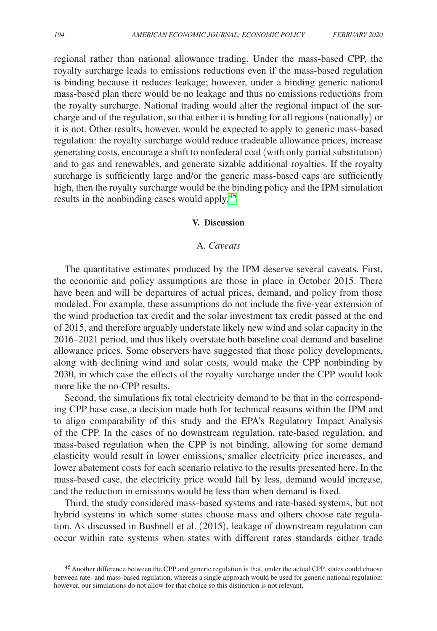regional rather than national allowance trading. Under the mass-based CPP, the royalty surcharge leads to emissions reductions even if the mass-based regulation is binding because it reduces leakage; however, under a binding generic national mass-based plan there would be no leakage and thus no emissions reductions from the royalty surcharge. National trading would alter the regional impact of the surcharge and of the regulation, so that either it is binding for all regions (nationally) or it is not. Other results, however, would be expected to apply to generic mass-based regulation: the royalty surcharge would reduce tradeable allowance prices, increase generating costs, encourage a shift to nonfederal coal (with only partial substitution) and to gas and renewables, and generate sizable additional royalties. If the royalty surcharge is sufficiently large and/or the generic mass-based caps are sufficiently high, then the royalty surcharge would be the binding policy and the IPM simulation results in the nonbinding cases would apply.<sup>45</sup>

#### **V. Discussion**

## A. *Caveats*

The quantitative estimates produced by the IPM deserve several caveats. First, the economic and policy assumptions are those in place in October 2015. There have been and will be departures of actual prices, demand, and policy from those modeled. For example, these assumptions do not include the five-year extension of the wind production tax credit and the solar investment tax credit passed at the end of 2015, and therefore arguably understate likely new wind and solar capacity in the 2016–2021 period, and thus likely overstate both baseline coal demand and baseline allowance prices. Some observers have suggested that those policy developments, along with declining wind and solar costs, would make the CPP nonbinding by 2030, in which case the effects of the royalty surcharge under the CPP would look more like the no-CPP results.

Second, the simulations fix total electricity demand to be that in the corresponding CPP base case, a decision made both for technical reasons within the IPM and to align comparability of this study and the EPA's Regulatory Impact Analysis of the CPP. In the cases of no downstream regulation, rate-based regulation, and mass-based regulation when the CPP is not binding, allowing for some demand elasticity would result in lower emissions, smaller electricity price increases, and lower abatement costs for each scenario relative to the results presented here. In the mass-based case, the electricity price would fall by less, demand would increase, and the reduction in emissions would be less than when demand is fixed.

Third, the study considered mass-based systems and rate-based systems, but not hybrid systems in which some states choose mass and others choose rate regulation. As discussed in Bushnell et al. (2015), leakage of downstream regulation can occur within rate systems when states with different rates standards either trade

<span id="page-27-0"></span><sup>&</sup>lt;sup>45</sup> Another difference between the CPP and generic regulation is that, under the actual CPP, states could choose between rate- and mass-based regulation, whereas a single approach would be used for generic national regulation; however, our simulations do not allow for that choice so this distinction is not relevant.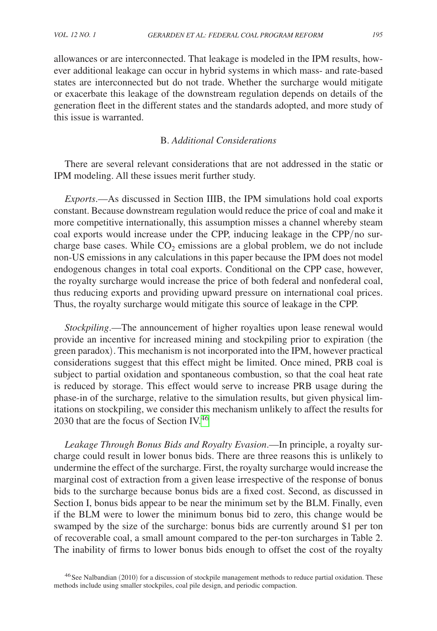allowances or are interconnected. That leakage is modeled in the IPM results, however additional leakage can occur in hybrid systems in which mass- and rate-based states are interconnected but do not trade. Whether the surcharge would mitigate or exacerbate this leakage of the downstream regulation depends on details of the generation fleet in the different states and the standards adopted, and more study of this issue is warranted.

## B. *Additional Considerations*

There are several relevant considerations that are not addressed in the static or IPM modeling. All these issues merit further study.

*Exports*.—As discussed in Section IIIB, the IPM simulations hold coal exports constant. Because downstream regulation would reduce the price of coal and make it more competitive internationally, this assumption misses a channel whereby steam coal exports would increase under the CPP, inducing leakage in the CPP/no surcharge base cases. While  $CO<sub>2</sub>$  emissions are a global problem, we do not include non-US emissions in any calculations in this paper because the IPM does not model endogenous changes in total coal exports. Conditional on the CPP case, however, the royalty surcharge would increase the price of both federal and nonfederal coal, thus reducing exports and providing upward pressure on international coal prices. Thus, the royalty surcharge would mitigate this source of leakage in the CPP.

*Stockpiling*.—The announcement of higher royalties upon lease renewal would provide an incentive for increased mining and stockpiling prior to expiration (the green paradox). This mechanism is not incorporated into the IPM, however practical considerations suggest that this effect might be limited. Once mined, PRB coal is subject to partial oxidation and spontaneous combustion, so that the coal heat rate is reduced by storage. This effect would serve to increase PRB usage during the phase-in of the surcharge, relative to the simulation results, but given physical limitations on stockpiling, we consider this mechanism unlikely to affect the results for 2030 that are the focus of Section IV.<sup>[46](#page-28-0)</sup>

*Leakage Through Bonus Bids and Royalty Evasion*.—In principle, a royalty surcharge could result in lower bonus bids. There are three reasons this is unlikely to undermine the effect of the surcharge. First, the royalty surcharge would increase the marginal cost of extraction from a given lease irrespective of the response of bonus bids to the surcharge because bonus bids are a fixed cost. Second, as discussed in Section I, bonus bids appear to be near the minimum set by the BLM. Finally, even if the BLM were to lower the minimum bonus bid to zero, this change would be swamped by the size of the surcharge: bonus bids are currently around \$1 per ton of recoverable coal, a small amount compared to the per-ton surcharges in Table 2. The inability of firms to lower bonus bids enough to offset the cost of the royalty

<span id="page-28-0"></span><sup>&</sup>lt;sup>46</sup>See Nalbandian (2010) for a discussion of stockpile management methods to reduce partial oxidation. These methods include using smaller stockpiles, coal pile design, and periodic compaction.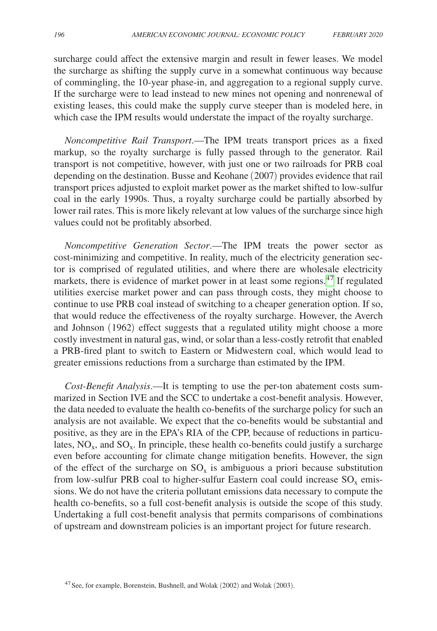surcharge could affect the extensive margin and result in fewer leases. We model the surcharge as shifting the supply curve in a somewhat continuous way because of commingling, the 10-year phase-in, and aggregation to a regional supply curve. If the surcharge were to lead instead to new mines not opening and nonrenewal of existing leases, this could make the supply curve steeper than is modeled here, in which case the IPM results would understate the impact of the royalty surcharge.

*Noncompetitive Rail Transport*.—The IPM treats transport prices as a fixed markup, so the royalty surcharge is fully passed through to the generator. Rail transport is not competitive, however, with just one or two railroads for PRB coal depending on the destination. Busse and Keohane (2007) provides evidence that rail transport prices adjusted to exploit market power as the market shifted to low-sulfur coal in the early 1990s. Thus, a royalty surcharge could be partially absorbed by lower rail rates. This is more likely relevant at low values of the surcharge since high values could not be profitably absorbed.

*Noncompetitive Generation Sector*.—The IPM treats the power sector as cost-minimizing and competitive. In reality, much of the electricity generation sector is comprised of regulated utilities, and where there are wholesale electricity markets, there is evidence of market power in at least some regions.<sup>[47](#page-29-0)</sup> If regulated utilities exercise market power and can pass through costs, they might choose to continue to use PRB coal instead of switching to a cheaper generation option. If so, that would reduce the effectiveness of the royalty surcharge. However, the Averch and Johnson (1962) effect suggests that a regulated utility might choose a more costly investment in natural gas, wind, or solar than a less-costly retrofit that enabled a PRB-fired plant to switch to Eastern or Midwestern coal, which would lead to greater emissions reductions from a surcharge than estimated by the IPM.

*Cost-Benefit Analysis*.—It is tempting to use the per-ton abatement costs summarized in Section IVE and the SCC to undertake a cost-benefit analysis. However, the data needed to evaluate the health co-benefits of the surcharge policy for such an analysis are not available. We expect that the co-benefits would be substantial and positive, as they are in the EPA's RIA of the CPP, because of reductions in particulates,  $NO<sub>x</sub>$ , and  $SO<sub>x</sub>$ . In principle, these health co-benefits could justify a surcharge even before accounting for climate change mitigation benefits. However, the sign of the effect of the surcharge on  $SO_x$  is ambiguous a priori because substitution from low-sulfur PRB coal to higher-sulfur Eastern coal could increase  $SO_x$  emissions. We do not have the criteria pollutant emissions data necessary to compute the health co-benefits, so a full cost-benefit analysis is outside the scope of this study. Undertaking a full cost-benefit analysis that permits comparisons of combinations of upstream and downstream policies is an important project for future research.

<span id="page-29-0"></span> $47$  See, for example, Borenstein, Bushnell, and Wolak (2002) and Wolak (2003).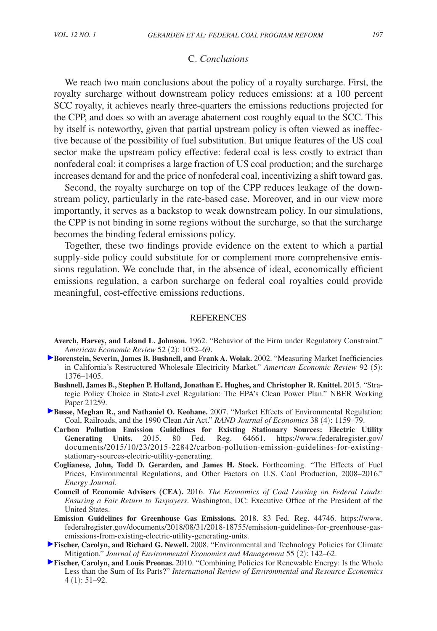## C. *Conclusions*

We reach two main conclusions about the policy of a royalty surcharge. First, the royalty surcharge without downstream policy reduces emissions: at a 100 percent SCC royalty, it achieves nearly three-quarters the emissions reductions projected for the CPP, and does so with an average abatement cost roughly equal to the SCC. This by itself is noteworthy, given that partial upstream policy is often viewed as ineffective because of the possibility of fuel substitution. But unique features of the US coal sector make the upstream policy effective: federal coal is less costly to extract than nonfederal coal; it comprises a large fraction of US coal production; and the surcharge increases demand for and the price of nonfederal coal, incentivizing a shift toward gas.

Second, the royalty surcharge on top of the CPP reduces leakage of the downstream policy, particularly in the rate-based case. Moreover, and in our view more importantly, it serves as a backstop to weak downstream policy. In our simulations, the CPP is not binding in some regions without the surcharge, so that the surcharge becomes the binding federal emissions policy.

Together, these two findings provide evidence on the extent to which a partial supply-side policy could substitute for or complement more comprehensive emissions regulation. We conclude that, in the absence of ideal, economically efficient emissions regulation, a carbon surcharge on federal coal royalties could provide meaningful, cost-effective emissions reductions.

#### **REFERENCES**

- **Averch, Harvey, and Leland L. Johnson.** 1962. "Behavior of the Firm under Regulatory Constraint." *American Economic Review* 52 (2): 1052–69.
- **Borenstein, Severin, James B. Bushnell, and Frank A. Wolak.** 2002. "Measuring Market Inefficiencies in California's Restructured Wholesale Electricity Market." *American Economic Review* 92 (5): 1376–1405.
	- **Bushnell, James B., Stephen P. Holland, Jonathan E. Hughes, and Christopher R. Knittel.** 2015. "Strategic Policy Choice in State-Level Regulation: The EPA's Clean Power Plan." NBER Working Paper 21259.
- **Busse, Meghan R., and Nathaniel O. Keohane.** 2007. "Market Effects of Environmental Regulation: Coal, Railroads, and the 1990 Clean Air Act." *RAND Journal of Economics* 38 (4): 1159–79.
	- **Carbon Pollution Emission Guidelines for Existing Stationary Sources: Electric Utility**  80 Fed. Reg. 64661. [https://www.federalregister.gov/](https://www.federalregister.gov/documents/2015/10/23/2015-22842/carbon-pollution-emission-guidelines-for-existing-stationary-sources-electric-utility-generating) [documents/2015/10/23/2015-22842/carbon-pollution-emission-guidelines-for-existing](https://www.federalregister.gov/documents/2015/10/23/2015-22842/carbon-pollution-emission-guidelines-for-existing-stationary-sources-electric-utility-generating)[stationary-sources-electric-utility-generating.](https://www.federalregister.gov/documents/2015/10/23/2015-22842/carbon-pollution-emission-guidelines-for-existing-stationary-sources-electric-utility-generating)
	- **Coglianese, John, Todd D. Gerarden, and James H. Stock.** Forthcoming. "The Effects of Fuel Prices, Environmental Regulations, and Other Factors on U.S. Coal Production, 2008–2016." *Energy Journal*.
	- **Council of Economic Advisers (CEA).** 2016. *The Economics of Coal Leasing on Federal Lands: Ensuring a Fair Return to Taxpayers*. Washington, DC: Executive Office of the President of the United States.
	- **Emission Guidelines for Greenhouse Gas Emissions.** 2018. 83 Fed. Reg. 44746. [https://www.](https://www.federalregister.gov/documents/2018/08/31/2018-18755/emission-guidelines-for-greenhouse-gas-emissions-from-existing-electric-utility-generating-units) [federalregister.gov/documents/2018/08/31/2018-18755/emission-guidelines-for-greenhouse-gas](https://www.federalregister.gov/documents/2018/08/31/2018-18755/emission-guidelines-for-greenhouse-gas-emissions-from-existing-electric-utility-generating-units)[emissions-from-existing-electric-utility-generating-units.](https://www.federalregister.gov/documents/2018/08/31/2018-18755/emission-guidelines-for-greenhouse-gas-emissions-from-existing-electric-utility-generating-units)
- **[F](http://pubs.aeaweb.org/action/showLinks?crossref=10.1016%2Fj.jeem.2007.11.001&citationId=p_9)ischer, Carolyn, and Richard G. Newell.** 2008. "Environmental and Technology Policies for Climate Mitigation." *Journal of Environmental Economics and Management* 55 (2): 142–62.
- **[F](http://pubs.aeaweb.org/action/showLinks?crossref=10.1561%2F101.00000030&citationId=p_10)ischer, Carolyn, and Louis Preonas.** 2010. "Combining Policies for Renewable Energy: Is the Whole Less than the Sum of Its Parts?" *International Review of Environmental and Resource Economics* 4 (1): 51–92.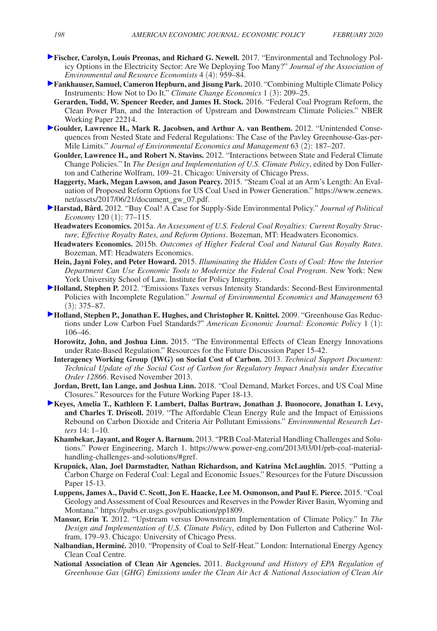- **Fischer, Carolyn, Louis Preonas, and Richard G. Newell.** 2017. "Environmental and Technology Policy Options in the Electricity Sector: Are We Deploying Too Many?" *Journal of the Association of Environmental and Resource Economists* 4 (4): 959–84.
- **Fankhauser, Samuel, Cameron Hepburn, and Jisung Park.** 2010. "Combining Multiple Climate Policy Instruments: How Not to Do It." *Climate Change Economics* 1 (3): 209–25.
- **Gerarden, Todd, W. Spencer Reeder, and James H. Stock.** 2016. "Federal Coal Program Reform, the Clean Power Plan, and the Interaction of Upstream and Downstream Climate Policies." NBER Working Paper 22214.
- **Goulder, Lawrence H., Mark R. Jacobsen, and Arthur A. van Benthem.** 2012. "Unintended Consequences from Nested State and Federal Regulations: The Case of the Pavley Greenhouse-Gas-per-Mile Limits." *Journal of Environmental Economics and Management* 63 (2): 187–207.
	- **Goulder, Lawrence H., and Robert N. Stavins.** 2012. "Interactions between State and Federal Climate Change Policies." In *The Design and Implementation of U.S. Climate Policy*, edited by Don Fullerton and Catherine Wolfram, 109–21. Chicago: University of Chicago Press.
- **Haggerty, Mark, Megan Lawson, and Jason Pearcy.** 2015. "Steam Coal at an Arm's Length: An Evaluation of Proposed Reform Options for US Coal Used in Power Generation." [https://www.eenews.](https://www.eenews.net/assets/2017/06/21/document_gw_07.pdf) [net/assets/2017/06/21/document\\_gw\\_07.pdf.](https://www.eenews.net/assets/2017/06/21/document_gw_07.pdf)
- **Harstad, Bård.** 2012. "Buy Coal! A Case for Supply-Side Environmental Policy." *Journal of Political Economy* 120 (1): 77–115.
	- **Headwaters Economics.** 2015a. *An Assessment of U.S. Federal Coal Royalties: Current Royalty Structure, Effective Royalty Rates, and Reform Options*. Bozeman, MT: Headwaters Economics.
	- **Headwaters Economics.** 2015b. *Outcomes of Higher Federal Coal and Natural Gas Royalty Rates*. Bozeman, MT: Headwaters Economics.
- **Hein, Jayni Foley, and Peter Howard.** 2015. *Illuminating the Hidden Costs of Coal: How the Interior Department Can Use Economic Tools to Modernize the Federal Coal Program*. New York: New York University School of Law, Institute for Policy Integrity.
- **Holland, Stephen P.** 2012. "Emissions Taxes versus Intensity Standards: Second-Best Environmental Policies with Incomplete Regulation." *Journal of Environmental Economics and Management* 63 (3): 375–87.
- **Holland, Stephen P., Jonathan E. Hughes, and Christopher R. Knittel.** 2009. "Greenhouse Gas Reductions under Low Carbon Fuel Standards?" *American Economic Journal: Economic Policy* 1 (1): 106–46.
	- **Horowitz, John, and Joshua Linn.** 2015. "The Environmental Effects of Clean Energy Innovations under Rate-Based Regulation." Resources for the Future Discussion Paper 15-42.
	- **Interagency Working Group (IWG) on Social Cost of Carbon.** 2013. *Technical Support Document: Technical Update of the Social Cost of Carbon for Regulatory Impact Analysis under Executive Order 12866*. Revised November 2013.
	- **Jordan, Brett, Ian Lange, and Joshua Linn.** 2018. "Coal Demand, Market Forces, and US Coal Mine Closures." Resources for the Future Working Paper 18-13.
- **Keyes, Amelia T., Kathleen F. Lambert, Dallas Burtraw, Jonathan J. Buonocore, Jonathan I. Levy, and Charles T. Driscoll.** 2019. "The Affordable Clean Energy Rule and the Impact of Emissions Rebound on Carbon Dioxide and Criteria Air Pollutant Emissions." *Environmental Research Letters* 14: 1–10.
	- **Khambekar, Jayant, and Roger A. Barnum.** 2013. "PRB Coal-Material Handling Challenges and Solutions." Power Engineering, March 1. [https://www.power-eng.com/2013/03/01/prb-coal-material](https://www.power-eng.com/2013/03/01/prb-coal-material-handling-challenges-and-solutions/#gref)[handling-challenges-and-solutions/#gref.](https://www.power-eng.com/2013/03/01/prb-coal-material-handling-challenges-and-solutions/#gref)
	- **Krupnick, Alan, Joel Darmstadter, Nathan Richardson, and Katrina McLaughlin.** 2015. "Putting a Carbon Charge on Federal Coal: Legal and Economic Issues." Resources for the Future Discussion Paper 15-13.
	- **Luppens, James A., David C. Scott, Jon E. Haacke, Lee M. Osmonson, and Paul E. Pierce.** 2015. "Coal Geology and Assessment of Coal Resources and Reserves in the Powder River Basin, Wyoming and Montana." [https://pubs.er.usgs.gov/publication/pp1809.](https://pubs.er.usgs.gov/publication/pp1809)
	- **Mansur, Erin T.** 2012. "Upstream versus Downstream Implementation of Climate Policy." In *The Design and Implementation of U.S. Climate Policy*, edited by Don Fullerton and Catherine Wolfram, 179–93. Chicago: University of Chicago Press.
	- **Nalbandian, Herminé.** 2010. "Propensity of Coal to Self-Heat." London: International Energy Agency Clean Coal Centre.
	- **National Association of Clean Air Agencies.** 2011. *Background and History of EPA Regulation of Greenhouse Gas* (*GHG*) *Emissions under the Clean Air Act & National Association of Clean Air*